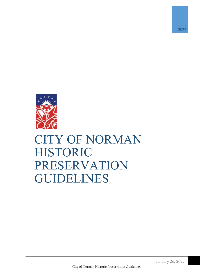

# CITY OF NORMAN HISTORIC PRESERVATION GUIDELINES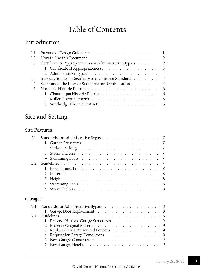## **Table of Contents**

## **Introduction**

| Certificate of Appropriateness or Administrative Bypass 2        |  |
|------------------------------------------------------------------|--|
| 1 Certificate of Appropriateness 3                               |  |
|                                                                  |  |
| Introduction to the Secretary of the Interior Standards 4<br>1.4 |  |
| Secretary of the Interior Standards for Rehabilitation 4         |  |
|                                                                  |  |
| 1 Chautauqua Historic District 6                                 |  |
|                                                                  |  |
| 3 Southridge Historic District 6                                 |  |
|                                                                  |  |

## **Site and Setting**

### **Site Features**

| 2.1     |                                           |
|---------|-------------------------------------------|
|         | Garden Structures                         |
|         | $\mathcal{D}$                             |
|         | $\mathcal{R}$                             |
|         |                                           |
| 2.2.    |                                           |
|         | 8                                         |
|         | $\mathcal{L}$<br>8                        |
|         | $\cdot$ 3<br>8                            |
|         | 8<br>$.4\phantom{0}$                      |
|         | 5                                         |
| Garages |                                           |
| 2.3     | Standards for Administrative Bypass 8     |
|         | Garage Door Replacement 8<br>$\mathbf{J}$ |
| 2.4     |                                           |
|         | Preserve Historic Garage Structures 9     |
|         | .2                                        |
|         | Replace Only Deteriorated Portions<br>.3  |
|         | $.4\,$                                    |
|         | New Garage Construction 9<br>.5           |
|         | 9<br>.6                                   |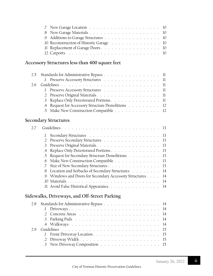| .9 Additions to Garage Structures 10     |  |
|------------------------------------------|--|
| .10 Reconstruction of Historic Garage 10 |  |
|                                          |  |
|                                          |  |

## **Accessory Structures less than 400 square feet**

|  | 2.5 Standards for Administrative Bypass 11        |  |
|--|---------------------------------------------------|--|
|  | 1 Preserve Accessory Structures 11                |  |
|  |                                                   |  |
|  | 1 Preserve Accessory Structures 11                |  |
|  | .2 Preserve Original Materials 11                 |  |
|  | .3 Replace Only Deteriorated Portions 11          |  |
|  | .4 Request for Accessory Structure Demolitions 12 |  |
|  | .5 Make New Construction Compatible 12            |  |

## **Secondary Structures**

| 2.7 |                 |                                                            |  |
|-----|-----------------|------------------------------------------------------------|--|
|     | $\Gamma$        |                                                            |  |
|     | $\cdot$ 2       | Preserve Secondary Structures 13                           |  |
|     | $\cdot$ 3       |                                                            |  |
|     | $.4\phantom{0}$ | Replace Only Deteriorated Portions 13                      |  |
|     |                 | 5 Request for Secondary Structure Demolitions 13           |  |
|     | 6 <sup>6</sup>  | Make New Construction Compatible 13                        |  |
|     |                 | Size of New Secondary Structures 13                        |  |
|     | .8              | Location and Setbacks of Secondary Structures 14           |  |
|     |                 | .9 Windows and Doors for Secondary Accessory Structures 14 |  |
|     |                 |                                                            |  |
|     |                 | 14 Avoid False Historical Appearance 14                    |  |
|     |                 | Sidewalks, Driveways, and Off-Street Parking               |  |
| 2.8 |                 | Standards for Administrative Bypass 14                     |  |
|     | $\cdot$         |                                                            |  |
|     |                 |                                                            |  |
|     |                 | 2 Darlying Dade<br>14                                      |  |

|  | $\therefore$ Front Driveway Location $\therefore$ $\therefore$ $\therefore$ $\therefore$ $\therefore$ $\therefore$ $\therefore$ $\therefore$ $\therefore$ $\therefore$ $\therefore$ $\therefore$ $\therefore$ $\therefore$ $\therefore$ $\therefore$ $\therefore$ $\therefore$ $\therefore$ $\therefore$ $\therefore$ $\therefore$ $\therefore$ $\therefore$ $\therefore$ $\therefore$ $\therefore$ $\therefore$ $\therefore$ $\therefore$ $\therefore$ $\therefore$ |  |
|--|----------------------------------------------------------------------------------------------------------------------------------------------------------------------------------------------------------------------------------------------------------------------------------------------------------------------------------------------------------------------------------------------------------------------------------------------------------------------|--|
|  |                                                                                                                                                                                                                                                                                                                                                                                                                                                                      |  |
|  | 3 New Driveway Composition 15                                                                                                                                                                                                                                                                                                                                                                                                                                        |  |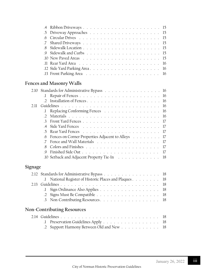| .10 New Paved Areas $\ldots \ldots \ldots \ldots \ldots \ldots \ldots \ldots \ldots 15$ |
|-----------------------------------------------------------------------------------------|
|                                                                                         |
|                                                                                         |
|                                                                                         |

## **Fences and Masonry Walls**

|     | 2.10 Standards for Administrative Bypass 16         |  |
|-----|-----------------------------------------------------|--|
|     |                                                     |  |
|     |                                                     |  |
| 211 |                                                     |  |
|     | Replacing Conforming Fences 16                      |  |
|     |                                                     |  |
|     |                                                     |  |
|     |                                                     |  |
|     |                                                     |  |
|     | 6 Fences on Corner Properties Adjacent to Alleys 17 |  |
|     |                                                     |  |
|     |                                                     |  |
|     |                                                     |  |
|     | 10 Setback and Adjacent Property Tie-In 18          |  |
|     |                                                     |  |

|  | 2.12 Standards for Administrative Bypass 18            |
|--|--------------------------------------------------------|
|  | .1 National Register of Historic Places and Plaques 18 |
|  |                                                        |
|  | 1 Sign Ordinance Also Applies 18                       |
|  |                                                        |
|  | 3 Non-Contributing Resources. 18                       |
|  |                                                        |

## **Non-Contributing Resources**

|  | 1 Preservation Guidelines Apply 18        |  |
|--|-------------------------------------------|--|
|  | .2 Support Harmony Between Old and New 18 |  |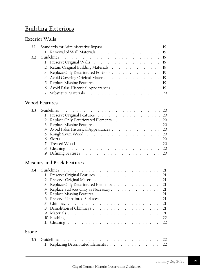## **Building Exteriors**

## **Exterior Walls**

|  | 3.1 Standards for Administrative Bypass 19<br>2 Retain Original Building Materials 19<br>.3 Replace Only Deteriorated Portions 19<br>4 Avoid Covering Original Materials 19<br>6 Avoid False Historical Appearances 19 |
|--|------------------------------------------------------------------------------------------------------------------------------------------------------------------------------------------------------------------------|

## **Wood Features**

| 33 <sup>2</sup> |                                          |
|-----------------|------------------------------------------|
|                 | 1 Preserve Original Features 20          |
|                 | .2 Replace Only Deteriorated Elements 20 |
|                 |                                          |
|                 | .4 Avoid False Historical Appearances 20 |
|                 |                                          |
|                 |                                          |
|                 |                                          |
|                 |                                          |
|                 |                                          |
|                 |                                          |

## **Masonry and Brick Features**

| 3.4          |                                          |    |
|--------------|------------------------------------------|----|
|              |                                          |    |
|              | Preserve Original Materials 21           |    |
|              | .3 Replace Only Deteriorated Elements 21 |    |
|              | 4 Replace Surfaces Only as Necessary 21  |    |
|              | 5 Replace Missing Features 21            |    |
|              | Preserve Unpainted Surfaces 21<br>.6     |    |
|              |                                          | 21 |
|              |                                          |    |
|              |                                          | 21 |
|              |                                          |    |
|              |                                          |    |
| <b>Stone</b> |                                          |    |
| 35           | Replacing Deteriorated Elements 22       |    |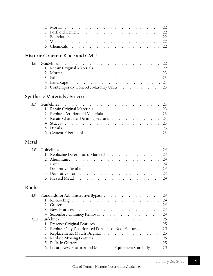|       | $\cdot$ 3<br>$\mathcal{A}$<br>$\overline{5}$<br>66                                                                                                                                             | 22<br>22                               |
|-------|------------------------------------------------------------------------------------------------------------------------------------------------------------------------------------------------|----------------------------------------|
|       | Historic Concrete Block and CMU                                                                                                                                                                |                                        |
| 3.6   | $\cdot$ F<br>$\mathcal{L}$<br>3<br>.4<br>Contemporary Concrete Masonry Units 23<br>.5                                                                                                          |                                        |
|       | Synthetic Materials / Stucco                                                                                                                                                                   |                                        |
| 3.7   | J.<br>Replace Deteriorated Materials 23<br>$\cdot$ .2<br>Retain Character Defining Features 23<br>$\cdot$ 3<br>$.4\phantom{0}$<br>$-5$<br>.6                                                   |                                        |
| Metal |                                                                                                                                                                                                |                                        |
| 3.8   | Replacing Deteriorated Material 24<br>$\cdot$<br>$\mathbf{3}$<br>$\mathcal{A}$<br>$\overline{5}$<br>.6                                                                                         | 24                                     |
| Roofs |                                                                                                                                                                                                |                                        |
| 3.9   | Standards for Administrative Bypass<br>$\cdot$<br>.2<br>$\mathcal{R}$<br>Secondary Chimney Removal.<br>.4                                                                                      | 24<br>24<br>24<br>24<br>24             |
| 3.10  | $\cdot$<br>Replace Only Deteriorated Portions of Roof Features<br>$\cdot$ .2<br>Replacements Match Original<br>3<br>.4<br>$-5$<br>Locate New Features and Mechanical Equipment Carefully<br>.6 | 25<br>25<br>25<br>25<br>25<br>25<br>25 |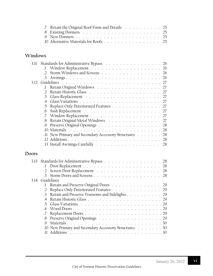| 7 Retain the Original Roof Form and Details 25 |  |
|------------------------------------------------|--|
|                                                |  |
|                                                |  |
| $10$ Alternative Materials for Roofs 25        |  |

## **Windows**

| 3.11  |                                                                          |                                                                                                                                                                                                                                                                                                                                                                                                                                                                                                                                                                                                                                         |
|-------|--------------------------------------------------------------------------|-----------------------------------------------------------------------------------------------------------------------------------------------------------------------------------------------------------------------------------------------------------------------------------------------------------------------------------------------------------------------------------------------------------------------------------------------------------------------------------------------------------------------------------------------------------------------------------------------------------------------------------------|
|       |                                                                          |                                                                                                                                                                                                                                                                                                                                                                                                                                                                                                                                                                                                                                         |
|       |                                                                          |                                                                                                                                                                                                                                                                                                                                                                                                                                                                                                                                                                                                                                         |
|       |                                                                          |                                                                                                                                                                                                                                                                                                                                                                                                                                                                                                                                                                                                                                         |
|       |                                                                          |                                                                                                                                                                                                                                                                                                                                                                                                                                                                                                                                                                                                                                         |
|       |                                                                          |                                                                                                                                                                                                                                                                                                                                                                                                                                                                                                                                                                                                                                         |
|       |                                                                          |                                                                                                                                                                                                                                                                                                                                                                                                                                                                                                                                                                                                                                         |
|       |                                                                          |                                                                                                                                                                                                                                                                                                                                                                                                                                                                                                                                                                                                                                         |
|       |                                                                          |                                                                                                                                                                                                                                                                                                                                                                                                                                                                                                                                                                                                                                         |
|       |                                                                          |                                                                                                                                                                                                                                                                                                                                                                                                                                                                                                                                                                                                                                         |
|       | .6                                                                       |                                                                                                                                                                                                                                                                                                                                                                                                                                                                                                                                                                                                                                         |
|       |                                                                          |                                                                                                                                                                                                                                                                                                                                                                                                                                                                                                                                                                                                                                         |
|       | .8                                                                       |                                                                                                                                                                                                                                                                                                                                                                                                                                                                                                                                                                                                                                         |
|       | .9                                                                       |                                                                                                                                                                                                                                                                                                                                                                                                                                                                                                                                                                                                                                         |
|       | $10$ Materials $\ldots \ldots \ldots \ldots \ldots \ldots \ldots \ldots$ |                                                                                                                                                                                                                                                                                                                                                                                                                                                                                                                                                                                                                                         |
|       |                                                                          |                                                                                                                                                                                                                                                                                                                                                                                                                                                                                                                                                                                                                                         |
|       |                                                                          |                                                                                                                                                                                                                                                                                                                                                                                                                                                                                                                                                                                                                                         |
|       |                                                                          |                                                                                                                                                                                                                                                                                                                                                                                                                                                                                                                                                                                                                                         |
|       |                                                                          |                                                                                                                                                                                                                                                                                                                                                                                                                                                                                                                                                                                                                                         |
| Doors |                                                                          |                                                                                                                                                                                                                                                                                                                                                                                                                                                                                                                                                                                                                                         |
| 3.13  |                                                                          |                                                                                                                                                                                                                                                                                                                                                                                                                                                                                                                                                                                                                                         |
|       | $\mathbf{I}$                                                             |                                                                                                                                                                                                                                                                                                                                                                                                                                                                                                                                                                                                                                         |
|       | $\cdot$ 2                                                                |                                                                                                                                                                                                                                                                                                                                                                                                                                                                                                                                                                                                                                         |
|       | $\mathcal{Z}$                                                            |                                                                                                                                                                                                                                                                                                                                                                                                                                                                                                                                                                                                                                         |
| 3.14  | Guidelines                                                               |                                                                                                                                                                                                                                                                                                                                                                                                                                                                                                                                                                                                                                         |
|       | J.                                                                       |                                                                                                                                                                                                                                                                                                                                                                                                                                                                                                                                                                                                                                         |
|       | $\cdot$ .2                                                               |                                                                                                                                                                                                                                                                                                                                                                                                                                                                                                                                                                                                                                         |
|       | $\cdot$ 3                                                                |                                                                                                                                                                                                                                                                                                                                                                                                                                                                                                                                                                                                                                         |
|       | $\mathcal{A}$                                                            |                                                                                                                                                                                                                                                                                                                                                                                                                                                                                                                                                                                                                                         |
|       | .5                                                                       |                                                                                                                                                                                                                                                                                                                                                                                                                                                                                                                                                                                                                                         |
|       | .6                                                                       |                                                                                                                                                                                                                                                                                                                                                                                                                                                                                                                                                                                                                                         |
|       |                                                                          |                                                                                                                                                                                                                                                                                                                                                                                                                                                                                                                                                                                                                                         |
|       |                                                                          |                                                                                                                                                                                                                                                                                                                                                                                                                                                                                                                                                                                                                                         |
|       |                                                                          |                                                                                                                                                                                                                                                                                                                                                                                                                                                                                                                                                                                                                                         |
|       | .9                                                                       |                                                                                                                                                                                                                                                                                                                                                                                                                                                                                                                                                                                                                                         |
|       | 3.12                                                                     | Standards for Administrative Bypass 26<br>$\cdot$<br>Storm Windows and Screens<br>$\cdot$<br>26<br>26<br>$\mathcal{E}$<br>27<br>27<br>$\cdot$ 1<br>$\cdot$ 2<br>27<br>$\cdot$ 3<br>27<br>27<br>.4<br>Replace Only Deteriorated Features<br>27<br>.5<br>27<br>$\cdot 7$<br>27<br>Retain Original Metal Windows<br>27<br>28<br>28<br>.11 New Primary and Secondary Accessory Structures 28<br>28<br>28<br>Screen Door Replacement<br>28<br>28<br>Retain and Preserve Original Doors 29<br>Replace Only Deteriorated Features 29<br>Retain and Preserve Transoms and Sidelights 29<br>$\cdot 7$<br>Preserve Original Openings 29<br>$.8\,$ |

.11 Additions . . . . . . . . . . . . . . . . . . . . . . . . . . 30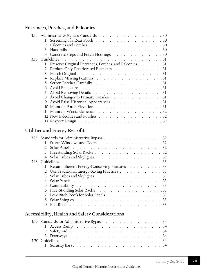## **Entrances, Porches, and Balconies**

|      | 3.15 Administrative Bypass Standards 30                |
|------|--------------------------------------------------------|
|      |                                                        |
|      | $\mathcal{D}$                                          |
|      | $\mathcal{E}$                                          |
|      | .4 Concrete Steps and Porch Floorings 30               |
| 3.16 |                                                        |
|      | Preserve Original Entrances, Porches, and Balconies 31 |
|      | Replace Only Deteriorated Elements 31<br>$\cdot$ 2     |
|      | $\mathcal{E}$                                          |
|      | $.4\phantom{0}$                                        |
|      |                                                        |
|      | $6^{\circ}$                                            |
|      |                                                        |
|      | 8 Avoid Changes to Primary Facades 31                  |
|      | Avoid False Historical Appearances 31<br>$\Theta$      |
|      |                                                        |
|      | .11                                                    |
|      |                                                        |
|      |                                                        |
|      |                                                        |

## **Utilities and Energy Retrofit**

| 3.17 |    | Standards for Administrative Bypass 32          |  |
|------|----|-------------------------------------------------|--|
|      | 1. |                                                 |  |
|      |    |                                                 |  |
|      |    |                                                 |  |
|      |    |                                                 |  |
| 3 18 |    |                                                 |  |
|      |    | 1 Retain Inherent Energy-Conserving Features 33 |  |
|      |    | .2 Use Traditional Energy-Saving Practices 33   |  |
|      |    | 3 Solar Tubes and Skylights 33                  |  |
|      |    |                                                 |  |
|      |    |                                                 |  |
|      |    |                                                 |  |
|      |    |                                                 |  |
|      |    |                                                 |  |
|      |    |                                                 |  |
|      |    |                                                 |  |

## **Accessibility, Health and Safety Considerations**

| 3.19 Standards for Administrative Bypass 34 |
|---------------------------------------------|
|                                             |
|                                             |
|                                             |
|                                             |
|                                             |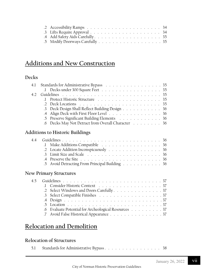## **Additions and New Construction**

## **Decks**

| 4.1 Standards for Administrative Bypass 35         |
|----------------------------------------------------|
|                                                    |
|                                                    |
| 1 Protect Historic Structure 35                    |
|                                                    |
| .3 Deck Design Shall Reflect Building Design 36    |
| .4 Align Deck with First Floor Level 36            |
| .5 Preserve Significant Building Elements 36       |
| .6 Decks May Not Detract from Overall Character 36 |
|                                                    |
| Additions to Historic Buildings                    |
|                                                    |

|  | 1 Make Additions Compatible 36                 |  |  |  |  |  |  |
|--|------------------------------------------------|--|--|--|--|--|--|
|  | 2 Locate Addition Inconspicuously 36           |  |  |  |  |  |  |
|  |                                                |  |  |  |  |  |  |
|  |                                                |  |  |  |  |  |  |
|  | .5 Avoid Detracting From Principal Building 36 |  |  |  |  |  |  |

## **New Primary Structures**

|  | 1 Consider Historic Context (Alexander Alexander Alexander Alexander Alexander Alexander Alexander A |
|--|------------------------------------------------------------------------------------------------------|
|  | .2 Select Windows and Doors Carefully 37                                                             |
|  | 3 Select Compatible Finishes 37                                                                      |
|  |                                                                                                      |
|  |                                                                                                      |
|  | .6 Evaluate Potential for Archeological Resources 37                                                 |
|  | 7 Avoid False Historical Appearance 37                                                               |
|  |                                                                                                      |

## **Relocation and Demolition**

## **Relocation of Structures**

|  | 5.1 Standards for Administrative Bypass 38 |  |  |  |  |  |  |  |  |  |  |  |  |  |  |  |  |
|--|--------------------------------------------|--|--|--|--|--|--|--|--|--|--|--|--|--|--|--|--|
|--|--------------------------------------------|--|--|--|--|--|--|--|--|--|--|--|--|--|--|--|--|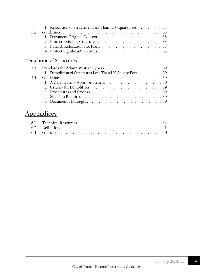|     | .1 Relocation of Structures Less Than 120 Square Feet 38 |                                    |  |  |  |  |
|-----|----------------------------------------------------------|------------------------------------|--|--|--|--|
| 5.2 |                                                          |                                    |  |  |  |  |
|     |                                                          | 1 Document Original Context 38     |  |  |  |  |
|     |                                                          |                                    |  |  |  |  |
|     |                                                          | 3 Furnish Relocation Site Plans 38 |  |  |  |  |
|     |                                                          | 4 Protect Significant Features. 38 |  |  |  |  |

## **Demolition of Structures**

|  | 5.3 Standards for Administrative Bypass 39               |
|--|----------------------------------------------------------|
|  | .1 Demolition of Structures Less Than 120 Square Feet 39 |
|  |                                                          |
|  | 1 A Certificate of Appropriateness 39                    |
|  |                                                          |
|  |                                                          |
|  |                                                          |
|  |                                                          |

## **Appendices**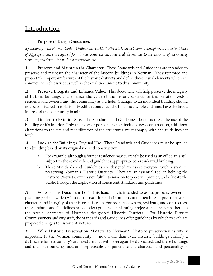## **Introduction**

### **1.1 Purpose of Design Guidelines**

*By authority of the Norman Code of Ordinances, sec. 429.3, Historic District Commission approval via a Certificate of Appropriateness is required for all new construction, structural alterations to the exterior of an existing structure, and demolition within a historic district.*

.**1 Preserve and Maintain the Character.** These Standards and Guidelines are intended to preserve and maintain the character of the historic buildings in Norman. They reinforce and protect the important features of the historic districts and define those visual elements which are common to each district as well as the qualities unique to this community.

**.2 Preserve Integrity and Enhance Value.** This document will help preserve the integrity of historic buildings and enhance the value of the historic district for the private investor, residents and owners, and the community as a whole. Changes to an individual building should not be considered in isolation. Modifications affect the block as a whole and must have the broad interest of the community in mind.

**.3 Limited to Exterior Site.** The Standards and Guidelines do not address the use of the building or it's interior. Only the exterior portions, which includes new construction, additions, alterations to the site and rehabilitation of the structures, must comply with the guidelines set forth.

**.4 Look at the Building's Original Use.** These Standards and Guidelines must be applied to a building based on its original use and construction.

- a. For example, although a former residence may currently be used as an office, it is still subject to the standards and guidelines appropriate to a residential building.
- b. These Standards and Guidelines are designed to assist everyone with a stake in preserving Norman's Historic Districts. They are an essential tool in helping the Historic District Commission fulfill its mission to preserve, protect, and educate the public through the application of consistent standards and guidelines.

**.5 Who Is This Document For?** This handbook is intended to assist property owners in planning projects which will alter the exterior of their property and, therefore, impact the overall character and integrity of the historic districts. For property owners, residents, and contractors, the Standards and Guidelines provide clear guidance in planning projects that are sympathetic to the special character of Norman's designated Historic Districts.For Historic District Commissioners and city staff, the Standards and Guidelines offer guidelines by which to evaluate proposed changes to historic structures.

**.6 Why Historic Preservation Matters to Norman?** Historic preservation is vitally important to the Norman community — now more than ever. Historic buildings embody a distinctive form of our city's architecture that will never again be duplicated, and these buildings and their surroundings add an irreplaceable component to the character and personality of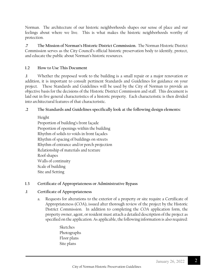Norman. The architecture of our historic neighborhoods shapes our sense of place and our feelings about where we live. This is what makes the historic neighborhoods worthy of protection.

**.7 The Mission of Norman's Historic District Commission.** The Norman Historic District Commission serves as the City Council's official historic preservation body to identify, protect, and educate the public about Norman's historic resources.

#### **1.2 How to Use This Document**

**.1** Whether the proposed work to the building is a small repair or a major renovation or addition, it is important to consult pertinent Standards and Guidelines for guidance on your project. These Standards and Guidelines will be used by the City of Norman to provide an objective basis for the decisions of the Historic District Commission and staff. This document is laid out in five general characteristics of a historic property. Each characteristic is then divided into architectural features of that characteristic.

#### **.2 The Standards and Guidelines specifically look at the following design elements:**

Height Proportion of building's front façade Proportion of openings within the building Rhythm of solids to voids in front façades Rhythm of spacing of buildings on streets Rhythm of entrance and/or porch projection Relationship of materials and texture Roof shapes Walls of continuity Scale of building Site and Setting

#### **1.3 Certificate of Appropriateness or Administrative Bypass**

#### **.1 Certificate of Appropriateness**

- a. Requests for alterations to the exterior of a property or site require a Certificate of Appropriateness (COA), issued after thorough review of the project by the Historic District Commission. In addition to completing the COA application form, the property owner, agent, or resident must attach a detailed description of the project as specified on the application. As applicable, the following information is also required:
	- Sketches Photographs Floor plans Site plans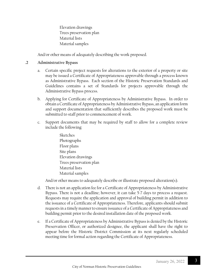Elevation drawings Trees preservation plan Material lists Material samples

And/or other means of adequately describing the work proposed.

#### **.2 Administrative Bypass**

- a. Certain specific project requests for alterations to the exterior of a property or site may be issued a Certificate of Appropriateness approvable through a process known as Administrative Bypass. Each section of the Historic Preservation Standards and Guidelines contains a set of Standards for projects approvable through the Administrative Bypass process.
- b. Applying for Certificate of Appropriateness by Administrative Bypass. In order to obtain a Certificate of Appropriateness by Administrative Bypass, an application form and support documentation that sufficiently describes the proposed work must be submitted to staff prior to commencement of work.
- c. Support documents that may be required by staff to allow for a complete review include the following:
	- Sketches Photographs Floor plans Site plans Elevation drawings Trees preservation plan Material lists Material samples

And/or other means to adequately describe or illustrate proposed alteration(s).

- d. There is not an application fee for a Certificate of Appropriateness by Administrative Bypass. There is not a deadline; however, it can take 5-7 days to process a request. Requests may require the application and approval of building permit in addition to the issuance of a Certificate of Appropriateness. Therefore, applicants should submit requests in a timely manner to ensure issuance of a Certificate of Appropriateness and building permit prior to the desired installation date of the proposed work.
- e. If a Certificate of Appropriateness by Administrative Bypass is denied by the Historic Preservation Officer, or authorized designee, the applicant shall have the right to appear before the Historic District Commission at its next regularly scheduled meeting time for formal action regarding the Certificate of Appropriateness.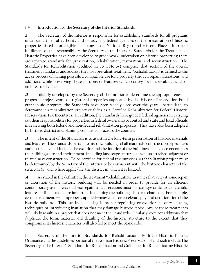#### **1.4 Introduction to the Secretary of the Interior Standards**

**.1** The Secretary of the Interior is responsible for establishing standards for all programs under departmental authority and for advising federal agencies on the preservation of historic properties listed in or eligible for listing in the National Register of Historic Places. In partial fulfillment of this responsibility the Secretary of the Interior's Standards for the Treatment of Historic Properties have been developed to guide work undertaken on historic properties; there are separate standards for preservation, rehabilitation, restoration, and reconstruction. The Standards for Rehabilitation (codified in 36 CFR 67) comprise that section of the overall treatment standards and address the most prevalent treatment. "Rehabilitation" is defined as the act or process of making possible a compatible use for a property through repair, alterations, and additions while preserving those portions or features which convey its historical, cultural, or architectural values.

**.2** Initially developed by the Secretary of the Interior to determine the appropriateness of proposed project work on registered properties supported by the Historic Preservation Fund grant-in-aid program, the Standards have been widely used over the years—particularly to determine if a rehabilitation project qualifies as a Certified Rehabilitation for Federal Historic Preservation Tax Incentives. In addition, the Standards have guided federal agencies in carrying out their responsibilities for properties in federal ownership or control and state and local officials in reviewing both federal and non-federal rehabilitation proposals. They have also been adopted by historic district and planning commissions across the country.

**.3** The intent of the Standards is to assist in the long-term preservation of historic materials and features. The Standards pertain to historic buildings of all materials, construction types, sizes and occupancy and include the exterior and the interior of the buildings. They also encompass the building's site and environment, including landscape features, as well as attached, adjacent or related new construction. To be certified for federal tax purposes, a rehabilitation project must be determined by the Secretary of the Interior to be consistent with the historic character of the structure(s) and, where applicable, the district in which it is located.

**.4** As stated in the definition, the treatment "rehabilitation" assumes that at least some repair or alteration of the historic building will be needed in order to provide for an efficient contemporary use; however, these repairs and alterations must not damage or destroy materials, features or finishes that are important in defining the building's historic character. For example, certain treatments—if improperly applied—may cause or accelerate physical deterioration of the historic building. This can include using improper repointing or exterior masonry cleaning techniques or introducing insulation that may damage historic fabric. Any of these treatments will likely result in a project that does not meet the Standards. Similarly, exterior additions that duplicate the form, material and detailing of the historic structure to the extent that they compromise its historic character will also fail to meet the Standards.

**1.5 Secretary of the Interior Standards for Rehabilitation.** Both the Historic District Ordinance and the guidelines portion of the Norman Historic Preservation Handbook include The Secretary of the Interior's Standards for Rehabilitation and Guidelines for Rehabilitating Historic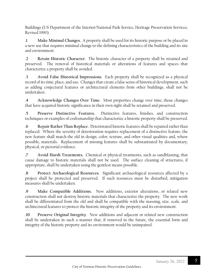Buildings (US Department of the Interior/National Park Service, Heritage Preservation Services, Revised 1990).

**.1 Make Minimal Changes.** A property shall be used for its historic purpose or be placed in a new use that requires minimal change to the defining characteristics of the building and its site and environment.

**.2 Retain Historic Character.** The historic character of a property shall be retained and preserved. The removal of historical materials or alterations of features and spaces that characterize a property shall be avoided.

**.3 Avoid False Historical Impressions**. Each property shall be recognized as a physical record of its time, place, and use. Changes that create a false sense of historical development, such as adding conjectural features or architectural elements from other buildings, shall not be undertaken.

**.4 Acknowledge Changes Over Time.** Most properties change over time; those changes that have acquired historic significance in their own right shall be retained and preserved.

**.5 Preserve Distinctive Features.** Distinctive features, finishes, and construction techniques or examples of craftsmanship that characterize a historic property shall be preserved.

**.6 Repair Rather Than Replace.** Deteriorated historic features shall be repaired rather than replaced. Where the severity of deterioration requires replacement of a distinctive feature, the new feature shall match the old in design, color, texture, and other visual qualities and, where possible, materials. Replacement of missing features shall be substantiated by documentary, physical, or pictorial evidence.

**.7 Avoid Harsh Treatments.** Chemical or physical treatments, such as sandblasting, that cause damage to historic materials shall not be used. The surface cleaning of structures, if appropriate, shall be undertaken using the gentlest means possible.

**.8 Protect Archaeological Resources.** Significant archaeological resources affected by a project shall be protected and preserved. If such resources must be disturbed, mitigation measures shall be undertaken.

**.9 Make Compatible Additions.** New additions, exterior alterations, or related new construction shall not destroy historic materials that characterize the property. The new work shall be differentiated from the old and shall be compatible with the massing, size, scale, and architectural features to protect the historic integrity of the property and its environment.

**.10 Preserve Original Integrity**. New additions and adjacent or related new construction shall be undertaken in such a manner that, if removed in the future, the essential form and integrity of the historic property and its environment would be unimpaired.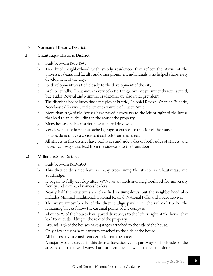#### **1.6 Norman's Historic Districts**

#### **.1 Chautauqua Historic District**

- a. Built between 1903-1940.
- b. Tree lined neighborhood with stately residences that reflect the status of the university deans and faculty and other prominent individuals who helped shape early development of the city.
- c. Its development was tied closely to the development of the city.
- d. Architecturally, Chautauqua is very eclectic. Bungalows are prominently represented, but Tudor Revival and Minimal Traditional are also quite prevalent.
- e. The district also includes fine examples of Prairie, Colonial Revival, Spanish Eclectic, Neoclassical Revival, and even one example of Queen Anne.
- f. More than 70% of the houses have paved driveways to the left or right of the house that lead to an outbuilding in the rear of the property.
- g. Many houses in this district have a shared driveway.
- h. Very few houses have an attached garage or carport to the side of the house.
- i. Houses do not have a consistent setback from the street.
- j. All streets in this district have parkways and sidewalks on both sides of streets, and paved walkways that lead from the sidewalk to the front door.

#### **.2 Miller Historic District**

- a. Built between 1910-1938.
- b. This district does not have as many trees lining the streets as Chautauqua and Southridge.
- c. It began to fully develop after WWI as an exclusive neighborhood for university faculty and Norman business leaders.
- d. Nearly half the structures are classified as Bungalows, but the neighborhood also includes Minimal Traditional, Colonial Revival, National Folk, and Tudor Revival.
- **e.** The westernmost blocks of the district align parallel to the railroad tracks; the remaining blocks follow the cardinal points of the compass.
- f. About 50% of the houses have paved driveways to the left or right of the house that lead to an outbuilding in the rear of the property.
- g. Around 20% of the houses have garages attached to the side of the house.
- h. Only a few houses have carports attached to the side of the house.
- i. All houses have a consistent setback from the street.
- j. A majority of the streets in this district have sidewalks, parkways on both sides of the streets, and paved walkways that lead from the sidewalk to the front door.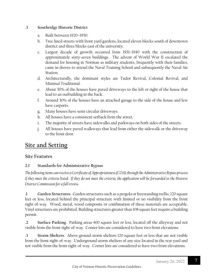#### **.3 Southridge Historic District**

- a. Built between 1920–1950.
- b. Tree lined streets with front yard gardens, located eleven blocks south of downtown district and three blocks east of the university.
- c. Largest decade of growth occurred from 1931–1940 with the construction of approximately sixty-seven buildings. The advent of World War II escalated the demand for housing in Norman as military students, frequently with their families, came in droves to attend the Naval Training School and subsequently the Naval Air Station.
- d. Architecturally, the dominant styles are Tudor Revival, Colonial Revival, and Minimal Traditional.
- e. About 50% of the houses have paved driveways to the left or right of the house that lead to an outbuilding in the back.
- f. Around 30% of the houses have an attached garage to the side of the house and few have carports.
- g. Many houses have semi-circular driveways.
- h. All houses have a consistent setback from the street.
- i. The majority of streets have sidewalks and parkways on both sides of the streets.
- j. All houses have paved walkways that lead from either the sidewalk or the driveway to the front door.

## **Site and Setting**

#### **Site Features**

#### **2.1 Standards for Administrative Bypass**

*The following items can receive a Certificate of Appropriateness (COA) through the Administrative Bypass process if they meet the criteria listed. If they do not meet the criteria, the application will be forwarded to the Historic District Commission for a full review.* 

**.1 Garden Structures.** Garden structures such as a pergola or freestanding trellis,120 square feet or less, located behind the principal structure with limited or no visibility from the front right-of-way. Wood, metal, wood composite or combination of these materials are acceptable. Vinyl structures are prohibited. Building structures greater than 108 square feet require a building permit.

**.2 Surface Parking.** Parking areas 400 square feet or less, located off the alleyway and not visible from the front right-of-way. Corner lots are considered to have two front elevations.

**.3 Storm Shelters.** Above ground storm shelters 120 square feet or less that are not visible from the front right-of-way. Underground storm shelters of any size located in the rear yard and not visible from the front right-of-way. Corner lots are considered to have two front elevations.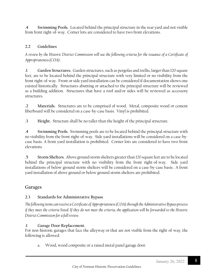**.4 Swimming Pools.** Located behind the principal structure in the rear yard and not visible from front right-of-way. Corner lots are considered to have two front elevations.

#### **2.2 Guidelines**

*A review by the Historic District Commission will use the following criteria for the issuance of a Certificate of Appropriateness (COA):*

**.1 Garden Structures.** Garden structures,such as pergolas and trellis, larger than 120 square feet, are to be located behind the principal structure with very limited or no visibility from the front right-of-way. Front or side yard installation can be considered if documentation shows one existed historically. Structures abutting or attached to the principal structure will be reviewed as a building addition. Structures that have a roof and/or sides will be reviewed as accessory structures.

**.2 Materials.** Structures are to be comprised of wood. Metal, composite wood or cement fiberboard will be considered on a case-by-case basis. Vinyl is prohibited.

**.3 Height.** Structure shall be no taller than the height of the principal structure.

**.4 Swimming Pools.** Swimming pools are to be located behind the principal structure with no visibility from the front right-of-way. Side yard installations will be considered on a case-bycase basis. A front yard installation is prohibited. Corner lots are considered to have two front elevations

**.5 Storm Shelters.** Above ground storm shelters greater than 120 square feet are to be located behind the principal structure with no visibility from the front right-of-way. Side yard installations of below ground storm shelters will be considered on a case-by-case basis. A front yard installation of above ground or below ground storm shelters are prohibited.

#### **Garages**

#### **2.3 Standards for Administrative Bypass**

*The following items can receive a Certificate of Appropriateness (COA) through the Administrative Bypass process if they meet the criteria listed. If they do not meet the criteria, the application will be forwarded to the Historic District Commission for a full review.* 

#### **.1 Garage Door Replacement.**

For non-historic garages that face the alleyway or that are not visible from the right-of-way, the following is allowed:

a. Wood, wood composite or a raised metal panel garage door.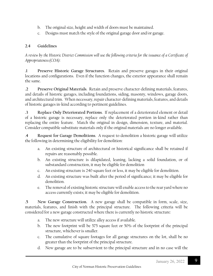- b. The original size, height and width of doors must be maintained.
- c. Designs must match the style of the original garage door and/or garage.

#### **2.4 Guidelines**

*A review by the Historic District Commission will use the following criteria for the issuance of a Certificate of Appropriateness (COA):*

**.1 Preserve Historic Garage Structures**. Retain and preserve garages in their original locations and configurations. Even if the function changes, the exterior appearance shall remain the same.

**.2 Preserve Original Materials**. Retain and preserve character-defining materials, features, and details of historic garages, including foundations, siding, masonry, windows, garage doors, and architectural trim. When necessary, repair character-defining materials, features, and details of historic garages in-kind according to pertinent guidelines.

**.3 Replace Only Deteriorated Portions**. If replacement of a deteriorated element or detail of a historic garage is necessary, replace only the deteriorated portion in-kind rather than replacing the entire feature. Match the original in design, dimension, texture, and material. Consider compatible substitute materials only if the original materials are no longer available.

.**4 Request for Garage Demolitions**. A request to demolition a historic garage will utilize the following in determining the eligibility for demolition:

- a. An existing structure of architectural or historical significance shall be retained if repairs are reasonably possible.
- b. An existing structure is dilapidated, leaning, lacking a solid foundation, or of substandard construction, it may be eligible for demolition
- c. An existing structure is 240 square feet or less, it may be eligible for demolition.
- d. An existing structure was built after the period of significance; it may be eligible for demolition.
- e. The removal of existing historic structure will enable access to the rear yard where no access currently exists; it may be eligible for demolition.

**.5 New Garage Construction.** A new garage shall be compatible in form, scale, size, materials, features, and finish with the principal structure. The following criteria will be considered for a new garage constructed where there is currently no historic structure:

- a. The new structure will utilize alley access if available.
- b. The new footprint will be 575 square feet or 50% of the footprint of the principal structure, whichever is smaller.
- c. The cumulative of square footages for all garage structures on the lot, shall be no greater than the footprint of the principal structure.
- d. New garage are to be subservient to the principal structure and in no case will the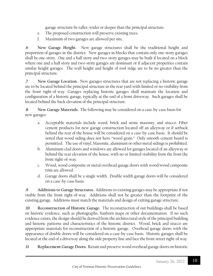garage structure be taller, wider or deeper than the principal structure.

- e. The proposed construction will preserve existing trees.
- f. Maximum of two garages are allowed per site.

**.6 New Garage Height.** New garage structures shall be the traditional height and proportion of garages in the district. New garages in blocks that contain only one-story garages shall be one-story. One and a half story and two-story garages may be built if located on a block where one and a half story and two-story garages are dominant or if adjacent properties contain similar height garages. The wall height and height of roof ridge are to be no greater than the principal structure.

**.7 New Garage Location.** New garages structures that are not replacing a historic garage are to be located behind the principal structure in the rear yard with limited or no visibility from the front right-of-way. Garages replacing historic garages shall maintain the location and configuration of a historic garage, typically at the end of a front driveway. Such garages shall be located behind the back elevation of the principal structure.

**.8 New Garage Materials.** The following may be considered on a case-by-case basis for new garages:

- a. Acceptable materials include wood, brick and stone masonry, and stucco. Fiber cement products for new garage construction located off an alleyway or if setback behind the rear of the house will be considered on a case-by-case basis. It should be noted that wood siding does not have "wood grain." Only smooth cement board is permitted. The use of vinyl, Masonite, aluminum or other metal sidings is prohibited.
- b. Aluminum clad doors and windows are allowed for garages located of an alleyway or behind the rear elevation of the house, with no or limited visibility from the from the front right-of-way.
- c. Wood, wood composite or metal overhead garage doors with wood/wood composite trim are allowed.
- d. Garage doors shall be a single width. Double width garage doors will be considered on a case-by-case basis.

**.9 Additions to Garage Structures.** Additions to existing garages may be appropriate if not visible from the front right-of-way. Additions shall not be greater than the footprint of the existing garage. Additions must match the materials and design of exiting garage structure.

**.10 Reconstruction of Historic Garage.** The reconstruction of out buildings shall be based on historic evidence, such as photographs, Sanborn maps or other documentation. If no such evidence exists, the design should be derived from the architectural style of the principal building and historic patterns and characteristics of the historic district. Wood, brick and stucco are appropriate materials for reconstruction of a historic garage. Overhead garage doors with the appearance of double doors will be considered on a case-by-case basis. Historic garages shall be located at the end of a driveway along the side property line and face the front street right-of way.

**.11 Replacement Garage Doors.** Retain and preserve wood overhead garage doors on historic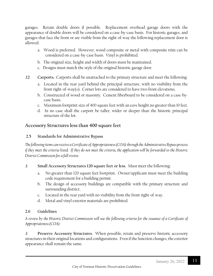garages. Retain double doors if possible. Replacement overhead garage doors with the appearance of double doors will be considered on a case-by-case basis. For historic garages, and garages that face the front or are visible from the right-of-way the following replacement door is allowed:

- a. Wood is preferred. However, wood composite or metal with composite trim can be considered on a case-by-case basis. Vinyl is prohibited.
- b. The original size, height and width of doors must be maintained.
- c. Designs must match the style of the original historic garage door.
- **.12 Carports.** Carports shall be unattached to the primary structure and meet the following:
	- a. Located in the rear yard behind the principal structure, with no visibility from the front right-of-way(s). Corner lots are considered to have two front elevations.
	- b. Constructed of wood or masonry. Cement fiberboard to be considered on a case-bycase basis.
	- c. Maximum footprint size of 400 square feet with an eave height no greater than 10 feet.
	- d. In no case shall the carport be taller, wider or deeper than the historic principal structure of the lot.

## **Accessory Structures less than 400 square feet**

#### **2.5 Standards for Administrative Bypass**

*The following items can receive a Certificate of Appropriateness (COA) through the Administrative Bypass process if they meet the criteria listed. If they do not meet the criteria, the application will be forwarded to the Historic District Commission for a full review.* 

- **.1 Small Accessory Structures 120 square feet or less.** Must meet the following:
	- a. No greater than 120 square feet footprint. Owner/applicant must meet the building code requirement for a building permit.
	- b. The design of accessory buildings are compatible with the primary structure and surrounding district.
	- c. Located in the rear yard with no visibility from the front right-of-way.
	- d. Metal and vinyl exterior materials are prohibited.

#### **2.6 Guidelines**

*A review by the Historic District Commission will use the following criteria for the issuance of a Certificate of Appropriateness (COA):*

**.1 Preserve Accessory Structures**. When possible, retain and preserve historic accessory structures in their original locations and configurations. Even if the function changes, the exterior appearance shall remain the same.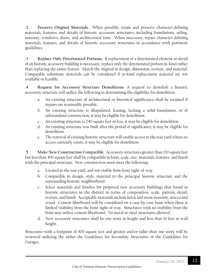**.2 Preserve Original Materials**. When possible, retain and preserve character-defining materials, features, and details of historic accessory structures, including foundations, siding, masonry, windows, doors, and architectural trim. When necessary, repair character-defining materials, features, and details of historic accessory structures in accordance with pertinent guidelines.

**.3 Replace Only Deteriorated Portions**. If replacement of a deteriorated element or detail of an historic accessory building is necessary, replace only the deteriorated portion in-kind rather than replacing the entire feature. Match the original in design, dimension, texture, and material. Compatible substitute materials can be considered if in-kind replacement material are not available or feasible.

**.4 Request for Accessory Structure Demolitions**. A request to demolish a historic accessory structure will utilize the following in determining the eligibility for demolition:

- a. An existing structure of architectural or historical significance shall be retained if repairs are reasonably possible.
- b. An existing structure is dilapidated, leaning, lacking a solid foundation, or of substandard construction, it may be eligible for demolition.
- c. An existing structure is 240 square feet or less, it may be eligible for demolition.
- d. An existing structure was built after the period of significance; it may be eligible for demolition.
- e. The removal of existing historic structure will enable access to the rear yard where no access currently exists; it may be eligible for demolition.

**.5 Make New Construction Compatible**. Accessory structures greater than 120 square feet but less than 400 square feet shall be compatible in form, scale, size, materials, features, and finish with the principal structure. New construction must meet the following:

- a. Located in the rear yard, and not visible from front right-of-way.
- b. Compatible in design, style, material to the principal historic structure and the surrounding historic neighborhood.
- c. Select materials and finishes for proposed new accessory buildings that found in historic structures in the district in terms of composition, scale, pattern, detail, texture, and finish. Acceptable materials include brick and stone masonry, stucco and wood. Cement fiberboard will be considered on a case-by-case basis when there is limited visibility from the front right-of-way. Structures with no visibility from the front may utilize cement fiberboard. No metal or vinyl structures allowed.
- d. New accessory structures shall be one-story in height and less than 10 feet in wall height.

Structures with a footprint of 400 square feet and greater and/or taller than one-story will be reviewed utilizing the either the Guidelines for Secondary Structures or the Guidelines for Garages.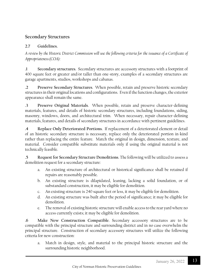### **Secondary Structures**

#### **2.7 Guidelines.**

*A review by the Historic District Commission will use the following criteria for the issuance of a Certificate of Appropriateness (COA):*

**.1 Secondary structures**. Secondary structures are accessory structures with a footprint of 400 square feet or greater and/or taller than one-story, examples of a secondary structures are garage apartments, studios, workshops and cabanas.

**.2 Preserve Secondary Structures**. When possible, retain and preserve historic secondary structures in their original locations and configurations. Even if the function changes, the exterior appearance shall remain the same.

**.3 Preserve Original Materials**. When possible, retain and preserve character-defining materials, features, and details of historic secondary structures, including foundations, siding, masonry, windows, doors, and architectural trim. When necessary, repair character-defining materials, features, and details of secondary structures in accordance with pertinent guidelines.

**.4 Replace Only Deteriorated Portions**. If replacement of a deteriorated element or detail of an historic secondary structure is necessary, replace only the deteriorated portion in-kind rather than replacing the entire feature. Match the original in design, dimension, texture, and material. Consider compatible substitute materials only if using the original material is not technically feasible.

**.5 Request for Secondary Structure Demolitions**. The following will be utilized to assess a demolition request for a secondary structure:

- a. An existing structure of architectural or historical significance shall be retained if repairs are reasonably possible.
- b. An existing structure is dilapidated, leaning, lacking a solid foundation, or of substandard construction, it may be eligible for demolition.
- c. An existing structure is 240 square feet or less, it may be eligible for demolition.
- d. An existing structure was built after the period of significance; it may be eligible for demolition.
- e. The removal of existing historic structure will enable access to the rear yard where no access currently exists; it may be eligible for demolition.

**.6 Make New Construction Compatible**. Secondary accessory structures are to be compatible with the principal structure and surrounding district and in no case overwhelm the principal structure. Construction of secondary accessory structures will utilize the following criteria for new construction:

a. Match in design, style, and material to the principal historic structure and the surrounding historic neighborhood.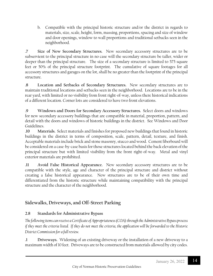b. Compatible with the principal historic structure and/or the district in regards to materials, size, scale, height, form, massing, proportions, spacing and size of window and door openings, window to wall proportions and traditional setbacks seen in the neighborhood.

**.7 Size of New Secondary Structures.** New secondary accessory structures are to be subservient to the principal structure in no case will the secondary structure be taller, wider or deeper than the principal structure. The size of a secondary structure is limited to 575 square feet or 50% of the principal structure footprint. The cumulative of square footages for all accessory structures and garages on the lot, shall be no greater than the footprint of the principal structure.

**.8 Location and Setbacks of Secondary Structures.** New secondary structures are to maintain traditional locations and setbacks seen in the neighborhood. Locations are to be in the rear yard, with limited or no visibility from front right-of-way, unless there historical indications of a different location. Corner lots are considered to have two front elevations.

**.9 Windows and Doors for Secondary Accessory Structures.** Select doors and windows for new secondary accessory buildings that are compatible in material, proportion, pattern, and detail with the doors and windows of historic buildings in the district. See Windows and Door Guidelines.

**.10 Materials.** Select materials and finishes for proposed new buildings that found in historic buildings in the district in terms of composition, scale, pattern, detail, texture, and finish. Acceptable materials include brick and stone masonry, stucco and wood. Cement fiberboard will be considered on a case-by-case basis for those structures located behind the back elevation of the principal structure but with limited visibility from the front right-of-way. Metal and vinyl exterior materials are prohibited.

**.11 Avoid False Historical Appearance.** New secondary accessory structures are to be compatible with the style, age and character of the principal structure and district without creating a false historical appearance. New structures are to be of their own time and differentiated from the historic structure while maintaining compatibility with the principal structure and the character of the neighborhood.

## **Sidewalks, Driveways, and Off-Street Parking**

#### **2.8 Standards for Administrative Bypass**

*The following items can receive a Certificate of Appropriateness (COA) through the Administrative Bypass process if they meet the criteria listed. If they do not meet the criteria, the application will be forwarded to the Historic District Commission for a full review.* 

**.1 Driveways.** Widening of an existing driveway or the installation of a new driveway to a maximum width of 10 feet. Driveways are to be constructed from materials allowed by city codes.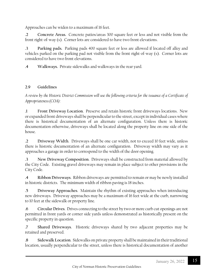Approaches can be widen to a maximum of 16 feet.

**.2 Concrete Areas.** Concrete patios/areas 300 square feet or less and not visible from the front right-of-way (s). Corner lots are considered to have two front elevations.

**.3 Parking pads.** Parking pads 400 square feet or less are allowed if located off alley and vehicles parked on the parking pad not visible from the front right-of-way (s). Corner lots are considered to have two front elevations.

**.4 Walkways.** Private sidewalks and walkways in the rear yard.

#### **2.9 Guidelines**

*A review by the Historic District Commission will use the following criteria for the issuance of a Certificate of Appropriateness (COA):*

**.1 Front Driveway Location**. Preserve and retain historic front driveways locations. New or expanded front driveways shall be perpendicular to the street, except in individual cases where there is historical documentation of an alternate configuration. Unless there is historic documentation otherwise, driveways shall be located along the property line on one side of the house.

**.2 Driveway Width**. Driveways shall be one car width, not to exceed 10 feet wide, unless there is historic documentation of an alternate configuration. Driveway width may vary as it approaches a garage in order to correspond to the width of the door opening.

**.3 New Driveway Composition**. Driveways shall be constructed from material allowed by the City Code. Existing gravel driveways may remain in place subject to other provisions in the City Code.

**.4 Ribbon Driveways**. Ribbon driveways are permitted to remain or may be newly installed in historic districts. The minimum width of ribbon paving is 18 inches.

**.5 Driveway Approaches**. Maintain the rhythm of existing approaches when introducing new driveways. Driveway approaches may be a maximum of 16 feet wide at the curb, narrowing to 10 feet at the sidewalk or property line.

**.6 Circular Drives**. Drives connecting to the street by two or more curb cut openings are not permitted in front yards or corner side yards unless demonstrated as historically present on the specific property in question.

**.7 Shared Driveways**. Historic driveways shared by two adjacent properties may be retained and preserved.

**.8 Sidewalk Location**. Sidewalks on private property shall be maintained in their traditional location, usually perpendicular to the street, unless there is historical documentation of another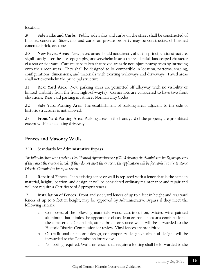location.

**.9 Sidewalks and Curbs**. Public sidewalks and curbs on the street shall be constructed of finished concrete. Sidewalks and curbs on private property may be constructed of finished concrete, brick, or stone.

**.10 New Paved Areas.** New paved areas should not directly abut the principal site structure, significantly alter the site topography, or overwhelm in area the residential, landscaped character of a rear or side yard. Care must be taken that paved areas do not injure nearby trees by intruding onto their root areas. They shall be designed to be compatible in location, patterns, spacing, configurations, dimensions, and materials with existing walkways and driveways. Paved areas shall not overwhelm the principal structure.

**.11 Rear Yard Area.** New parking areas are permitted off alleyway with no visibility or limited visibility from the front right-of-way(s). Corner lots are considered to have two front elevations. Rear yard parking must meet Norman City Codes.

**.12 Side Yard Parking Area.** The establishment of parking areas adjacent to the side of historic structures is not allowed.

**.13 Front Yard Parking Area**. Parking areas in the front yard of the property are prohibited except within an existing driveway.

## **Fences and Masonry Walls**

**2.10 Standards for Administrative Bypass.** 

*The following items can receive a Certificate of Appropriateness (COA) through the Administrative Bypass process if they meet the criteria listed. If they do not meet the criteria, the application will be forwarded to the Historic District Commission for a full review.* 

**.1 Repair of Fences.** If an existing fence or wall is replaced with a fence that is the same in material, height, location, and design; it will be considered ordinary maintenance and repair and will not require a Certificate of Appropriateness.

**.2 Installation of Fences.** Front and side yard fences of up to 4 feet in height and rear yard fences of up to 6 feet in height, may be approved by Administrative Bypass if they meet the following criteria:

- a. Composed of the following materials: wood, cast iron, iron, twisted wire, painted aluminum that mimics the appearance of cast iron or iron fences or a combination of these materials. Chain link, stone, brick, or stucco walls will be forwarded to the Historic District Commission for review. Vinyl fences are prohibited.
- b. Of traditional or historic design, contemporary designs/horizontal designs will be forwarded to the Commission for review.
- c. No footing required. Walls or fences that require a footing shall be forwarded to the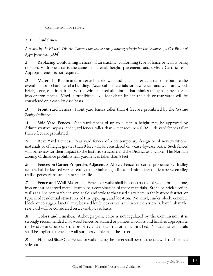Commission for review.

#### **2.11 Guidelines**

*A review by the Historic District Commission will use the following criteria for the issuance of a Certificate of Appropriateness (COA):*

**.1 Replacing Conforming Fences**. If an existing, conforming type of fence or wall is being replaced with one that is the same in material, height, placement, and style, a Certificate of Appropriateness is not required.

**.2 Materials**. Retain and preserve historic wall and fence materials that contribute to the overall historic character of a building. Acceptable materials for new fences and walls are wood, brick, stone, cast iron, iron, twisted wire, painted aluminum that mimics the appearance of cast iron or iron fences. Vinyl is prohibited. A 4 foot chain link in the side or rear yards will be considered on a case-by-case basis.

**.3 Front Yard Fences**. Front yard fences taller than 4 feet are prohibited by the *Norman Zoning Ordinance*.

**.4 Side Yard Fences**. Side yard fences of up to 4 feet in height may be approved by Administrative Bypass. Side yard fences taller than 4 feet require a COA. Side yard fences taller than 6 feet are prohibited.

**.5 Rear Yard Fences**. Rear yard fences of a contemporary design or of non-traditional materials or of height greater than 8 feet will be considered on a case-by-case basis. Such fences will be review for their impact to the historic structure and the District as a whole. The Norman Zoning Ordinance prohibits rear yard fences taller than 8 feet.

**.6 Fences on Corner Properties Adjacent to Alleys**. Fences on corner properties with alley access shall be located very carefully to maximize sight lines and minimize conflicts between alley traffic, pedestrians, and on-street traffic.

**.7 Fence and Wall Materials**. Fences or walls shall be constructed of wood, brick, stone, iron or cast or forged metal, stucco, or a combination of these materials. Stone or brick used in walls shall be compatible in size, scale, and style to that used elsewhere in the historic district, or typical of residential structures of this type, age, and location. No vinyl, cinder block, concrete block, or corrugated metal, may be used for fences or walls in historic districts. Chain link in the rear yard will be considered on a case-by-case basis.

**.8 Colors and Finishes**. Although paint color is not regulated by the Commission, it is strongly recommended that wood fences be stained or painted in colors and finishes appropriate to the style and period of the property and the district or left unfinished. No decorative murals shall be applied to fence or wall surfaces visible from the street.

**.9 Finished Side Out**. Fences or walls facing the street shall be constructed with the finished side out.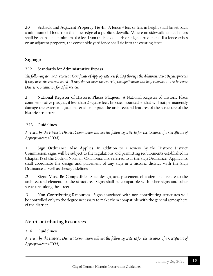**.10 Setback and Adjacent Property Tie-In**. A fence 4 feet or less in height shall be set back a minimum of 1 foot from the inner edge of a public sidewalk. Where no sidewalk exists, fences shall be set back a minimum of 6 feet from the back of curb or edge of pavement. If a fence exists on an adjacent property, the corner side yard fence shall tie into the existing fence.

### Signage

#### **2.12 Standards for Administrative Bypass**

*The following items can receive a Certificate of Appropriateness (COA) through the Administrative Bypass process if they meet the criteria listed. If they do not meet the criteria, the application will be forwarded to the Historic District Commission for a full review.* 

**.1 National Register of Historic Places Plaques.** A National Register of Historic Place commemorative plaques, if less than 2 square feet, bronze, mounted so that will not permanently damage the exterior façade material or impact the architectural features of the structure of the historic structure.

#### **2.13 Guidelines**

*A review by the Historic District Commission will use the following criteria for the issuance of a Certificate of Appropriateness (COA):*

**.1 Sign Ordinance Also Applies**. In addition to a review by the Historic District Commission, signs will be subject to the regulations and permitting requirements established in Chapter 18 of the Code of Norman, Oklahoma, also referred to as the Sign Ordinance. Applicants shall coordinate the design and placement of any sign in a historic district with the Sign Ordinance as well as these guidelines.

**.2 Signs Must Be Compatible**. Size, design, and placement of a sign shall relate to the architectural elements of the structure. Signs shall be compatible with other signs and other structures along the street.

**.3 Non-Contributing Resources**. Signs associated with non-contributing structures will be controlled only to the degree necessary to make them compatible with the general atmosphere of the district.

## **Non-Contributing Resources**

#### **2.14 Guidelines**

*A review by the Historic District Commission will use the following criteria for the issuance of a Certificate of Appropriateness (COA):*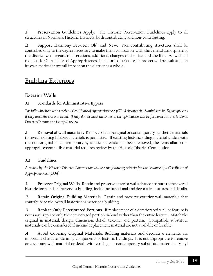**.1 Preservation Guidelines Apply**. The Historic Preservation Guidelines apply to all structures in Norman's Historic Districts, both contributing and non-contributing.

**.2 Support Harmony Between Old and New**. Non-contributing structures shall be controlled only to the degree necessary to make them compatible with the general atmosphere of the district with regard to alterations, additions, changes to the site, and the like. As with all requests for Certificates of Appropriateness in historic districts, each project will be evaluated on its own merits for overall impact on the district as a whole.

## **Building Exteriors**

## **Exterior Walls**

#### **3.1 Standards for Administrative Bypass**

*The following items can receive a Certificate of Appropriateness (COA) through the Administrative Bypass process if they meet the criteria listed. If they do not meet the criteria, the application will be forwarded to the Historic District Commission for a full review.* 

**.1 Removal of wall materials.** Removal of non-original or contemporary synthetic materials to reveal existing historic materials is permitted. If existing historic siding material underneath the non-original or contemporary synthetic materials has been removed, the reinstallation of appropriate/compatible material requires review by the Historic District Commission.

#### **3.2 Guidelines**

*A review by the Historic District Commission will use the following criteria for the issuance of a Certificate of Appropriateness (COA):*

**.1 Preserve Original Walls**. Retain and preserve exterior walls that contribute to the overall historic form and character of a building, including functional and decorative features and details.

**.2 Retain Original Building Materials**. Retain and preserve exterior wall materials that contribute to the overall historic character of a building.

**.3 Replace Only Deteriorated Portions**. If replacement of a deteriorated wall or feature is necessary, replace only the deteriorated portion in-kind rather than the entire feature. Match the original in material, design, dimension, detail, texture, and pattern. Compatible substitute materials can be considered if in-kind replacement material are not available or feasible.

**.4 Avoid Covering Original Materials**. Building materials and decorative elements are important character-defining components of historic buildings. It is not appropriate to remove or cover any wall material or detail with coatings or contemporary substitute materials. Vinyl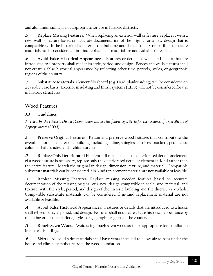and aluminum siding is not appropriate for use in historic districts.

**.5 Replace Missing Features**. When replacing an exterior wall or feature, replace it with a new wall or feature based on accurate documentation of the original or a new design that is compatible with the historic character of the building and the district. Compatible substitute materials can be considered if in-kind replacement material are not available or feasible.

**.6 Avoid False Historical Appearances**. Features or details of walls and fences that are introduced to a property shall reflect its style, period, and design. Fences and walls features shall not create a false historical appearance by reflecting other time periods, styles, or geographic regions of the country.

**.7 Substitute Materials**. Cement fiberboard (e.g. Hardiplank® siding) will be considered on a case-by-case basis. Exterior insulating and finish systems (EIFS) will not be considered for use in historic structures.

## **Wood Features**

#### **3.3 Guidelines**

*A review by the Historic District Commission will use the following criteria for the issuance of a Certificate of Appropriateness (COA):*

**.1 Preserve Original Features**. Retain and preserve wood features that contribute to the overall historic character of a building, including siding, shingles, cornices, brackets, pediments, columns, balustrades, and architectural trim.

**.2 Replace Only Deteriorated Elements**. If replacement of a deteriorated details or element of a wood feature is necessary, replace only the deteriorated detail or element in-kind rather than the entire feature. Match the original in design, dimension, texture, and material. Compatible substitute materials can be considered if in-kind replacement material are not available or feasible.

**.3 Replace Missing Features**. Replace missing wooden features based on accurate documentation of the missing original or a new design compatible in scale, size, material, and texture, with the style, period, and design of the historic building and the district as a whole. Compatible substitute materials can be considered if in-kind replacement material are not available or feasible.

**.4 Avoid False Historical Appearances**. Features or details that are introduced to a house shall reflect its style, period, and design. Features shall not create a false historical appearance by reflecting other time periods, styles, or geographic regions of the country.

**.5 Rough Sawn Wood**. Avoid using rough sawn wood as is not appropriate for installation in historic buildings.

**.6 Skirts.** All solid skirt materials shall have vents installed to allow air to pass under the house and eliminate moisture from the wood foundation.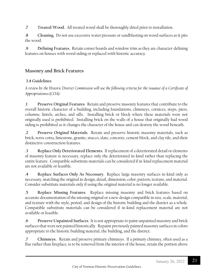**.7 Treated Wood.** All treated wood shall be thoroughly dried prior to installation.

**.8 Cleaning.** Do not use excessive water pressure or sandblasting on wood surfaces as it pits the wood.

**.9 Defining Features.** Retain corner boards and window trim as they are character-defining features on houses with wood siding or replaced with historic accuracy.

## **Masonry and Brick Features**

#### **3.4 Guidelines**

*A review by the Historic District Commission will use the following criteria for the issuance of a Certificate of Appropriateness (COA):*

**.1 Preserve Original Features**. Retain and preserve masonry features that contribute to the overall historic character of a building, including foundations, chimneys, cornices, steps, piers, columns, lintels, arches, and sills. Installing brick or block where these materials were not originally used is prohibited. Installing brick on the walls of a house that originally had wood siding is prohibited as it changes the character of the house and can destroy the wood beneath.

**.2 Preserve Original Materials**. Retain and preserve historic masonry materials, such as brick, terra-cotta, limestone, granite, stucco, slate, concrete, cement block, and clay tile, and their distinctive construction features.

**.3 Replace Only Deteriorated Elements**. If replacement of a deteriorated detail or elements of masonry feature is necessary, replace only the deteriorated in-kind rather than replacing the entire feature. Compatible substitute materials can be considered if in-kind replacement material are not available or feasible.

**.4 Replace Surfaces Only As Necessary**. Replace large masonry surfaces in-kind only as necessary, matching the original in design, detail, dimension, color, pattern, texture, and material. Consider substitute materials only if using the original material is no longer available.

**.5 Replace Missing Features**. Replace missing masonry and brick features based on accurate documentation of the missing original or a new design compatible in size, scale, material, and texture with the style, period, and design of the historic building and the district as a whole. Compatible substitute materials can be considered if in-kind replacement material are not available or feasible.

**.6 Preserve Unpainted Surfaces**. It is not appropriate to paint unpainted masonry and brick surfaces that were not painted historically. Repaint previously painted masonry surfaces in colors appropriate to the historic building material, the building, and the district.

**.7 Chimneys.** Retain and preserve primary chimneys. If a primary chimney, often used as a flue rather than fireplace, is to be removed from the interior of the house, retain the portion above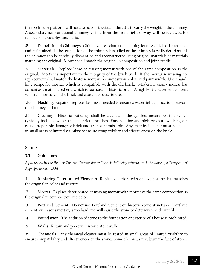the roofline. A platform will need to be constructed in the attic to carry the weight of the chimney. A secondary non-functional chimney visible from the front right-of-way will be reviewed for removal on a case-by-case basis.

**.8 Demolition of Chimneys.** Chimneys are a character-defining feature and shall be retained and maintained. If the foundation of the chimney has failed or the chimney is badly deteriorated, the chimney can be carefully dismantled and reconstructed using original materials or materials matching the original. Mortar shall match the original in composition and joint profile.

**.9 Materials.** Replace loose or missing mortar with one of the same composition as the original. Mortar is important to the integrity of the brick wall. If the mortar is missing, its replacement shall match the historic mortar in composition, color, and joint width. Use a sandlime recipe for mortar, which is compatible with the old brick. Modern masonry mortar has cement as a main ingredient, which is too hard for historic brick. A high Portland cement content will trap moisture in the brick and cause it to deteriorate.

**.10 Flashing.** Repair or replace flashing as needed to ensure a watertight connection between the chimney and roof.

**.11 Cleaning**. Historic buildings shall be cleaned in the gentlest means possible which typically includes water and soft bristle brushes. Sandblasting and high-pressure washing can cause irreparable damage to brick and are not permissible. Any chemical cleaner must be tested in small areas of limited visibility to ensure compatibility and effectiveness on the brick.

#### **Stone**

#### **3.5 Guidelines**

*A full review by the Historic District Commission will use the following criteria for the issuance of a Certificate of Appropriateness (COA):*

**.1 Replacing Deteriorated Elements.** Replace deteriorated stone with stone that matches the original in color and texture.

**.2 Mortar.** Replace deteriorated or missing mortar with mortar of the same composition as the original in composition and color.

**.3 Portland Cement.** Do not use Portland Cement on historic stone structures. Portland cement, or masons mortar, is too hard and will cause the stone to deteriorate and crumble.

**.4 Foundation.** The addition of stone to the foundation or exterior of a house is prohibited.

**.5 Walls.** Retain and preserve historic stonewalls.

**.6 Chemicals.** Any chemical cleaner must be tested in small areas of limited visibility to ensure compatibility and effectiveness on the stone. Some chemicals may burn the face of stone.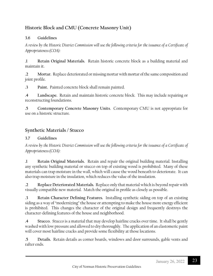## **Historic Block and CMU (Concrete Masonry Unit)**

#### **3.6 Guidelines**

*A review by the Historic District Commission will use the following criteria for the issuance of a Certificate of Appropriateness (COA):*

**.1 Retain Original Materials.** Retain historic concrete block as a building material and maintain it.

**.2 Mortar.** Replace deteriorated or missing mortar with mortar of the same composition and joint profile.

**.3 Paint.** Painted concrete block shall remain painted.

**.4 Landscape.** Retain and maintain historic concrete block. This may include repairing or reconstructing foundations.

**.5 Contemporary Concrete Masonry Units**. Contemporary CMU is not appropriate for use on a historic structure.

## **Synthetic Materials / Stucco**

#### **3.7 Guidelines**

*A review by the Historic District Commission will use the following criteria for the issuance of a Certificate of Appropriateness (COA):*

**.1 Retain Original Materials.** Retain and repair the original building material. Installing any synthetic building material or stucco on top of existing wood is prohibited. Many of these materials can trap moisture in the wall, which will cause the wood beneath to deteriorate. It can also trap moisture in the insulation, which reduces the value of the insulation.

**.2 Replace Deteriorated Materials.** Replace only that material which is beyond repair with visually compatible new material. Match the original in profile as closely as possible.

**.3 Retain Character Defining Features.** Installing synthetic siding on top of an existing siding as a way of "modernizing" the house or attempting to make the house more energy efficient is prohibited. This changes the character of the original design and frequently destroys the character-defining features of the house and neighborhood.

**.4 Stucco.** Stucco is a material that may develop hairline cracks over time. It shall be gently washed with low pressure and allowed to dry thoroughly. The application of an elastomeric paint will cover most hairline cracks and provide some flexibility at those locations.

**.5 Details.** Retain details as corner boards, windows and door surrounds, gable vents and rafter ends.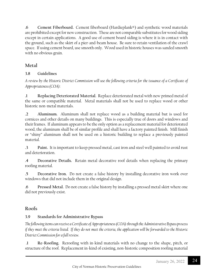**.6 Cement Fiberboard.** Cement fiberboard (Hardieplank®) and synthetic wood materials are prohibited except for new construction. These are not comparable substitutes for wood siding except in certain applications. A good use of cement board siding is where it is in contact with the ground, such as the skirt of a pier-and-beam house. Be sure to retain ventilation of the crawl space. If using cement board, use smooth only. Wood used in historic houses was sanded smooth with no obvious grain.

## **Metal**

#### **3.8 Guidelines**

*A review by the Historic District Commission will use the following criteria for the issuance of a Certificate of Appropriateness (COA):*

**.1 Replacing Deteriorated Material.** Replace deteriorated metal with new primed metal of the same or compatible material. Metal materials shall not be used to replace wood or other historic non-metal materials.

**.2 Aluminum.** Aluminum shall not replace wood as a building material but is used for cornices and other details on many buildings. This is especially true of doors and windows and their frames. If aluminum appears to be the only option as a replacement material for deteriorated wood, the aluminum shall be of similar profile and shall have a factory painted finish. Mill finish or "shiny" aluminum shall not be used on a historic building to replace a previously painted material.

**.3 Paint.** It is important to keep pressed metal, cast iron and steel well painted to avoid rust and deterioration.

**.4 Decorative Details.** Retain metal decorative roof details when replacing the primary roofing material.

**.5 Decorative Iron.** Do not create a false history by installing decorative iron work over windows that did not include them in the original design.

**.6 Pressed Metal.** Do not create a false history by installing a pressed metal skirt where one did not previously exist.

## **Roofs**

## **3.9 Standards for Administrative Bypass**

*The following items can receive a Certificate of Appropriateness (COA) through the Administrative Bypass process if they meet the criteria listed. If they do not meet the criteria, the application will be forwarded to the Historic District Commission for a full review.*

**.1 Re-Roofing.** Reroofing with in-kind materials with no change to the shape, pitch, or structure of the roof. Replacement in-kind of existing, non-historic composition roofing material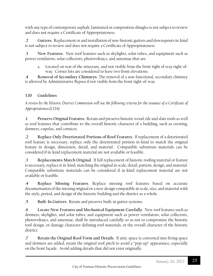with any type of contemporary asphalt, laminated or composition shingles is not subject to review and does not require a Certificate of Appropriateness.

**.2 Gutters.** Replacement or and installation of non-historic gutters and downspouts in-kind is not subject to review and does not require a Certificate of Appropriateness.

**.3 New Features.** New roof features such as skylights, solar tubes, and equipment such as power ventilators, solar collectors, photovoltaics, and antennae that are:

a. Located on rear of the structure, and not visible from the front right of way right-ofway. Corner lots are considered to have two front elevations.

**.4 Removal of Secondary Chimneys.** The removal of a non-functional, secondary chimney is allowed by Administrative Bypass if not visible from the front right-of-way.

#### **3.10 Guidelines**

*A review by the Historic District Commission will use the following criteria for the issuance of a Certificate of Appropriateness (COA):*

**.1 Preserve Original Features**. Retain and preserve historic wood, tile and slate roofs as well as roof features that contribute to the overall historic character of a building, such as cresting, dormers, cupolas, and cornices.

**.2 Replace Only Deteriorated Portions of Roof Features**. If replacement of a deteriorated roof feature is necessary, replace only the deteriorated portion in-kind to match the original feature in design, dimension, detail, and material. Compatible substitute materials can be considered if in-kind replacement material are not available or feasible.

**.3 Replacements Match Original**. If full replacement of historic roofing material or feature is necessary, replace it in-kind, matching the original in scale, detail, pattern, design, and material. Compatible substitute materials can be considered if in-kind replacement material are not available or feasible.

**.4 Replace Missing Features**. Replace missing roof features based on accurate documentation of the missing original or a new design compatible in scale, size, and material with the style, period, and design of the historic building and the district as a whole.

**.5 Built-In Gutters**. Retain and preserve built-in gutter systems.

**.6 Locate New Features and Mechanical Equipment Carefully**. New roof features such as dormers, skylights, and solar tubes, and equipment such as power ventilators, solar collectors, photovoltaics, and antennae, shall be introduced carefully so as not to compromise the historic roof design, or damage character-defining roof materials, or the overall character of the historic district.

**.7 Retain the Original Roof Form and Details.** If attic space is converted into living space and dormers are added, retain the original roof pitch to avoid a "pop-up" appearance, especially on the front façade. Avoid adding details that did not exist originally.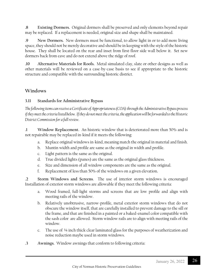**.8 Existing Dormers.** Original dormers shall be preserved and only elements beyond repair may be replaced. If a replacement is needed, original size and shape shall be maintained.

**.9 New Dormers.** New dormers must be functional, to allow light in or to add more living space, they should not be merely decorative and should be in keeping with the style of the historic house. They shall be located on the rear and inset from first-floor side wall below it. Set new dormers back from eave and do not extend above the ridge of roof.

**.10 Alternative Materials for Roofs.** Metal simulated clay, slate or other designs as well as other materials will be reviewed on a case-by-case basis to see if appropriate to the historic structure and compatible with the surrounding historic district.

#### **Windows**

#### **3.11 Standards for Administrative Bypass**

*The following items can receive a Certificate of Appropriateness (COA) through the Administrative Bypass process if they meet the criteria listed below. If they do not meet the criteria, the application will be forwarded to the Historic District Commission for a full review*.

**.1 Window Replacement.** An historic window that is deteriorated more than 50% and is not repairable may be replaced in-kind if it meets the following:

- a. Replace original windows in-kind, meaning match the original in material and finish.
- b. Muntin width and profile are same as the original in width and profile.
- c. Light pattern is the same as the original.
- d. True divided lights (panes) are the same as the original glass thickness.
- e. Size and dimension of all window components are the same as the original.
- f. Replacement of less than 50% of the windows on a given elevation**.**

**.2 Storm Windows and Screens**. The use of interior storm windows is encouraged Installation of exterior storm windows are allowable if they meet the following criteria:

- a. Wood framed, full-light storms and screens that are low profile and align with meeting rails of the window.
- b. Relatively unobtrusive, narrow-profile, metal exterior storm windows that do not obscure the window itself, that are carefully installed to prevent damage to the sill or the frame, and that are finished in a painted or a baked-enamel color compatible with the sash color are allowed. Storm window rails are to align with meeting rails of the window.
- c. The use of ¼ inch thick clear laminated glass for the purposes of weatherization and noise reduction maybe used in storm windows.
- **.3 Awnings.** Window awnings that conform to following criteria: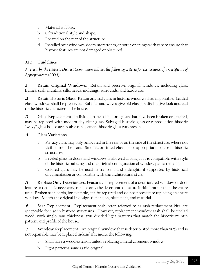- a. Material is fabric.
- b. Of traditional style and shape.
- c. Located on the rear of the structure.
- **d.** Installed over windows, doors, storefronts, or porch openings with care to ensure that historic features are not damaged or obscured.

#### **3.12 Guidelines**

*A review by the Historic District Commission will use the following criteria for the issuance of a Certificate of Appropriateness (COA):*

**.1 Retain Original Windows**. Retain and preserve original windows, including glass, frames, sash, muntins, sills, heads, moldings, surrounds, and hardware.

**.2 Retain Historic Glass**. Retain original glass in historic windows if at all possible. Leaded glass windows shall be preserved. Bubbles and waves give old glass its distinctive look and add to the historic character of the house.

**.3 Glass Replacement**. Individual panes of historic glass that have been broken or cracked, may be replaced with modern-day clear glass. Salvaged historic glass or reproduction historic "wavy" glass is also acceptable replacement historic glass was present.

#### **.4 Glass Variations.**

- a. Privacy glass may only be located in the rear or on the side of the structure, where not visible from the front. Smoked or tinted glass is not appropriate for use in historic structures.
- b. Beveled glass in doors and windows is allowed as long as it is compatible with style of the historic building and the original configuration of window panes remains.
- c. Colored glass may be used in transoms and sidelights if supported by historical documentation or compatible with the architectural style.

**.5 Replace Only Deteriorated Features**. If replacement of a deteriorated window or door feature or details is necessary, replace only the deteriorated feature in-kind rather than the entire unit. Broken sash cords, for example, can be repaired and do not necessitate replacing an entire window. Match the original in design, dimension, placement, and material.

**.6 Sash Replacement**. Replacement sash, often referred to as sash replacement kits, are acceptable for use in historic structures. However, replacement window sash shall be unclad wood, with single-pane thickness, true divided light patterns that match the historic muntin pattern and profile of the house.

**.7 Window Replacement.** An original window that is deteriorated more than 50% and is not repairable may be replaced in-kind if it meets the following:

- a. Shall have a wood exterior, unless replacing a metal casement window.
- b. Light patterns same as the original.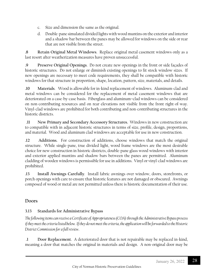- c. Size and dimension the same as the original.
- d. Double-pane simulated divided lights with wood muntins on the exterior and interior and a shadow bar between the panes may be allowed for windows on the side or rear that are not visible from the street.

**.8 Retain Original Metal Windows**. Replace original metal casement windows only as a last resort after weatherization measures have proven unsuccessful.

**.9 Preserve Original Openings**. Do not create new openings in the front or side façades of historic structures. Do not enlarge or diminish existing openings to fit stock window sizes. If new openings are necessary to meet code requirements, they shall be compatible with historic windows for that structure in proportion, shape, location, pattern, size, materials, and details.

**.10 Materials**. Wood is allowable for in-kind replacement of windows. Aluminum-clad and metal windows can be considered for the replacement of metal casement windows that are deteriorated on a case-by-case basis. Fiberglass and aluminum–clad windows can be considered on non-contributing resources and on rear elevations not visible from the front right-of-way. Vinyl-clad windows are prohibited for both contributing and non-contributing structures in the historic districts.

**.11 New Primary and Secondary Accessory Structures.** Windows in new construction are to compatible with in adjacent historic structures in terms of size, profile, design, proportions, and material. Wood and aluminum clad windows are acceptable for use in new construction.

**.12 Additions.** For construction of additions, choose windows that match the original structure. While single-pane, true divided light, wood frame windows are the most desirable choice for new construction in historic districts, double-pane glass wood windows with interior and exterior applied muntins and shadow bars between the panes are permitted. Aluminum cladding of wooden windows is permissible for use in additions. Vinyl or vinyl-clad windows are prohibited.

**.13 Install Awnings Carefully**. Install fabric awnings over window, doors, storefronts, or porch openings with care to ensure that historic features are not damaged or obscured. Awnings composed of wood or metal are not permitted unless there is historic documentation of their use.

## **Doors**

## **3.13 Standards for Administrative Bypass**

*The following items can receive a Certificate of Appropriateness (COA) through the Administrative Bypass process if they meet the criteria listed below. If they do not meet the criteria, the application will be forwarded to the Historic District Commission for a full review*.

**.1 Door Replacement**. A deteriorated door that is not repairable may be replaced in-kind, meaning a door that matches the original in materials and design. A non-original door may be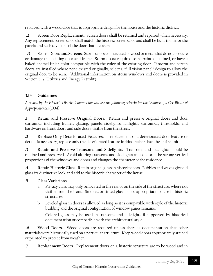replaced with a wood door that is appropriate design for the house and the historic district.

**.2 Screen Door Replacement.** Screen doors shall be retained and repaired when necessary. Any replacement screen door shall match the historic screen door and shall be built to mirror the panels and sash divisions of the door that it covers.

 **.3 Storm Doors and Screens**. Storm doors constructed of wood or metal that do not obscure or damage the existing door and frame. Storm doors required to be painted, stained, or have a baked-enamel finish color compatible with the color of the existing door. If storm and screen doors are installed where none existed originally, select a "full vision panel" design to allow the original door to be seen. (Additional information on storm windows and doors is provided in Section 3.17, Utilities and Energy Retrofit).

#### **3.14 Guidelines**

*A review by the Historic District Commission will use the following criteria for the issuance of a Certificate of Appropriateness (COA):*

**.1 Retain and Preserve Original Doors.** Retain and preserve original doors and door surrounds including frames, glazing, panels, sidelights, fanlights, surrounds, thresholds, and hardware on front doors and side doors visible from the street.

**.2 Replace Only Deteriorated Features.** If replacement of a deteriorated door feature or details is necessary, replace only the deteriorated feature in-kind rather than the entire unit.

**.3 Retain and Preserve Transoms and Sidelights.** Transoms and sidelights should be retained and preserved. Avoid altering transoms and sidelights as it distorts the strong vertical proportions of the windows and doors and changes the character of the residence.

**.4 Retain Historic Glass**. Retain original glass in historic doors. Bubbles and waves give old glass its distinctive look and add to the historic character of the house.

#### **.5 Glass Variations**

- a. Privacy glass may only be located in the rear or on the side of the structure, where not visible from the front. Smoked or tinted glass is not appropriate for use in historic structures.
- b. Beveled glass in doors is allowed as long as it is compatible with style of the historic building and the original configuration of window panes remains.
- c. Colored glass may be used in transoms and sidelights if supported by historical documentation or compatible with the architectural style.

**.6 Wood Doors.** Wood doors are required unless there is documentation that other materials were historically used on a particular structure. Keep wood doors appropriately stained or painted to protect from weather.

**.7 Replacement Doors.** Replacement doors on a historic structure are to be wood and in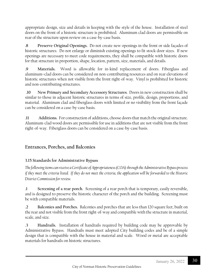appropriate design, size and details in keeping with the style of the house. Installation of steel doors on the front of a historic structure is prohibited. Aluminum clad doors are permissible on rear of the structure upon review on a case-by-case basis.

**.8 Preserve Original Openings.** Do not create new openings in the front or side façades of historic structures. Do not enlarge or diminish existing openings to fit stock door sizes. If new openings are necessary to meet code requirements, they shall be compatible with historic doors for that structure in proportion, shape, location, pattern, size, materials, and details.

**.9 Materials.** Wood is allowable for in-kind replacement of doors. Fiberglass and aluminum–clad doors can be considered on non-contributing resources and on rear elevations of historic structures when not visible from the front right-of-way. Vinyl is prohibited for historic and non-contributing structures.

**.10 New Primary and Secondary Accessory Structures**. Doorsin new construction shall be similar to those in adjacent historic structures in terms of size, profile, design, proportions, and material. Aluminum clad and fiberglass doors with limited or no visibility from the front façade can be considered on a case-by-case basis.

**.11 Additions.** For construction of additions, choose doorsthat match the original structure. Aluminum-clad wood doors are permissible for use in additions that are not visible from the front right-of-way. Fiberglass doors can be considered on a case-by-case basis.

## **Entrances, Porches, and Balconies**

#### **3.15 Standards for Administrative Bypass**

*The following items can receive a Certificate of Appropriateness (COA) through the Administrative Bypass process if they meet the criteria listed. If they do not meet the criteria, the application will be forwarded to the Historic District Commission for review.*

**.1 Screening of a rear porch.** Screening of a rear porch that is temporary, easily reversible, and is designed to preserve the historic character of the porch and the building. Screening must be with compatible materials.

**.2 Balconies and Porches.** Balconies and porches that are less than 120 square feet, built on the rear and not visible from the front right-of-way and compatible with the structure in material, scale, and size.

**.3 Handrails.** Installation of handrails required by building code may be approvable by Administrative Bypass. Handrails must meet adopted City building codes and be of a simple design that is compatible with the house in material and scale. Wood or metal are acceptable materials for handrails on historic structures.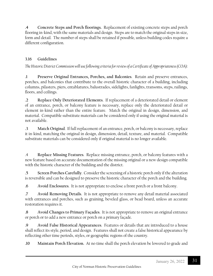**.4 Concrete Steps and Porch floorings.** Replacement of existing concrete steps and porch flooring in-kind, with the same materials and design. Steps are to match the original steps in size, form and detail. The number of steps shall be retained if possible, unless building codes require a different configuration.

#### **3.16 Guidelines**

*The Historic District Commission will use following criteria for review of a Certificate of Appropriateness (COA):*

**.1 Preserve Original Entrances, Porches, and Balconies**. Retain and preserve entrances, porches, and balconies that contribute to the overall historic character of a building, including columns, pilasters, piers, entablatures, balustrades, sidelights, fanlights, transoms, steps, railings, floors, and ceilings.

**.2 Replace Only Deteriorated Elements**. If replacement of a deteriorated detail or element of an entrance, porch, or balcony feature is necessary, replace only the deteriorated detail or element in-kind rather than the entire feature. Match the original in design, dimension, and material. Compatible substitute materials can be considered only if using the original material is not available.

**.3 Match Original**. If full replacement of an entrance, porch, or balcony is necessary, replace it in-kind, matching the original in design, dimension, detail, texture, and material. Compatible substitute materials can be considered only if original material is no longer available.

.4 **Replace Missing Features**. Replace missing entrance, porch, or balcony features with a new feature based on accurate documentation of the missing original or a new design compatible with the historic character of the building and the district.

**.5 Screen Porches Carefully**. Consider the screening of a historic porch only if the alteration is reversible and can be designed to preserve the historic character of the porch and the building.

**.6 Avoid Enclosures**. It is not appropriate to enclose a front porch or a front balcony.

**.7 Avoid Removing Details**. It is not appropriate to remove any detail material associated with entrances and porches, such as graining, beveled glass, or bead board, unless an accurate restoration requires it.

**.8 Avoid Changes to Primary Façades**. It is not appropriate to remove an original entrance or porch or to add a new entrance or porch on a primary façade.

**.9 Avoid False Historical Appearances**. Features or details that are introduced to a house shall reflect its style, period, and design. Features shall not create a false historical appearance by reflecting other time periods, styles, or geographic regions of the country.

**.10 Maintain Porch Elevation.** At no time shall the porch elevation be lowered to grade and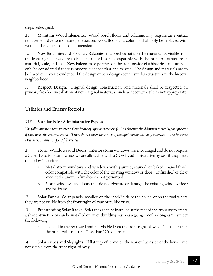steps redesigned.

**.11 Maintain Wood Elements.** Wood porch floors and columns may require an eventual replacement due to moisture penetration; wood floors and columns shall only be replaced with wood of the same profile and dimension.

**12. New Balconies and Porches**. Balconies and porches built on the rear and not visible from the front right-of-way are to be constructed to be compatible with the principal structure in material, scale, and size. New balconies or porches on the front or side of a historic structure will only be considered if there is historic evidence that one existed. The design and materials are to be based on historic evidence of the design or be a design seen in similar structures in the historic neighborhood.

**13. Respect Design.** Original design, construction, and materials shall be respected on primary façades. Installation of non-original materials, such as decorative tile, is not appropriate.

## **Utilities and Energy Retrofit**

#### **3.17 Standards for Administrative Bypass**

*The following items can receive a Certificate of Appropriateness (COA) through the Administrative Bypass process if they meet the criteria listed. If they do not meet the criteria, the application will be forwarded to the Historic District Commission for a full review.*

**.1 Storm Windows and Doors.** Interior storm windows are encouraged and do not require a COA. Exterior storm windows are allowable with a COA by administrative bypassif they meet the following criteria:

- a. Metal storm windows and windows with painted, stained, or baked-enamel finish color compatible with the color of the existing window or door. Unfinished or clear anodized aluminum finishes are not permitted.
- b. Storm windows and doors that do not obscure or damage the existing window/door and/or frame.

**.2 Solar Panels.** Solar panels installed on the "back" side of the house, or on the roof where they are not visible from the front right-of-way or public view.

**.3 Freestanding Solar Racks.** Solar racks can be installed at the rear of the property to create a shade structure or can be installed on an outbuilding, such as a garage roof, as long as they meet the following:

a. Located in the rear yard and not visible from the front right-of-way. Not taller than the principal structure. Less than 120 square feet.

**.4 Solar Tubes and Skylights.** If flat in profile and on the rear or back side of the house, and not visible from the front right-of-way.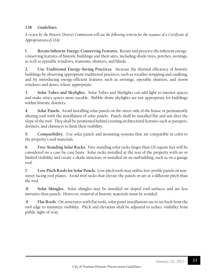#### **3.18 Guidelines**

*A review by the Historic District Commission will use the following criteria for the issuance of a Certificate of Appropriateness (COA):*

**1. Retain Inherent Energy-Conserving Features.** Retain and preserve the inherent energyconserving features of historic buildings and their sites, including shade trees, porches, awnings, as well as operable windows, transoms, shutters, and blinds.

**2. Use Traditional Energy-Saving Practices.** Increase the thermal efficiency of historic buildings by observing appropriate traditional practices, such as weather stripping and caulking, and by introducing energy-efficient features such as awnings, operable shutters, and storm windows and doors, where appropriate.

**3. Solar Tubes and Skylights.** Solar Tubes and Skylights can add light to interior spaces and make attics spaces more useable. Bubble-dome skylights are not appropriate for buildings within historic districts.

**4. Solar Panels.** Avoid installing solar panels on the street side of the house or permanently altering roof with the installation of solar panels. Panels shall be installed flat and not alter the slope of the roof. They shall be positioned behind existing architectural features such as parapets, dormers, and chimneys to limit their visibility.

**5. Compatibility.** Use solar panels and mounting systems that are compatible in color to the property's roof materials.

**6. Free-Standing Solar Racks.** Free-standing solar racks larger than 120 square feet will be considered on a case-by-case basis. Solar racks installed at the rear of the property with no or limited visibility and create a shade structure or installed on an outbuilding, such as on a garage roof.

**7. Low Pitch Roofs for Solar Panels.** Low pitch roofs may utilize low-profile panels on nonstreet-facing roof planes. Avoid roof racks that elevate the panels or are at a different pitch than the roof.

**.8 Solar Shingles.** Solar shingles may be installed on sloped roof-surfaces and are less intrusive than panels. However, removal of historic materials must be avoided.

**.9 Flat Roofs.** On structures with flat roofs, solar panel installations are to set back from the roof edge to minimize visibility. Pitch and elevation shall be adjusted to reduce visibility from public right-of-way.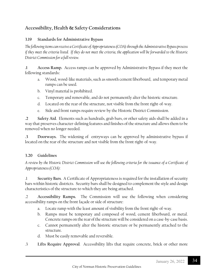## **Accessibility, Health & Safety Considerations**

#### **3.19 Standards for Administrative Bypass**

*The following items can receive a Certificate of Appropriateness (COA) through the Administrative Bypass process if they meet the criteria listed. If they do not meet the criteria, the application will be forwarded to the Historic District Commission for a full review.*

**.1 Access Ramp.** Access ramps can be approved by Administrative Bypass if they meet the following standards**:**

- a. Wood, wood-like materials, such as smooth cement fiberboard, and temporary metal ramps can be used.
- b. Vinyl material is prohibited.
- c. Temporary and removable, and do not permanently alter the historic structure.
- d. Located on the rear of the structure, not visible from the front right-of-way.
- e. Side and front ramps require review by the Historic District Commission.

**.2 Safety Aid**. Elements such as handrails, grab bars, or other safety aids shall be added in a way that preserves character-defining features and finishes of the structure and allows them to be removed when no longer needed.

**.3 Doorways.** The widening of entryways can be approved by administrative bypass if located on the rear of the structure and not visible from the front right-of-way.

#### **3.20 Guidelines**

*A review by the Historic District Commission will use the following criteria for the issuance of a Certificate of Appropriateness (COA):*

.1 **Security Bars**. A Certificate of Appropriateness is required for the installation of security bars within historic districts. Security bars shall be designed to complement the style and design characteristics of the structure to which they are being attached.

.2 **Accessibility Ramps.** The Commission will use the following when considering accessibility ramps on the front façade or side of structure:

- a. Locate ramp with the least amount of visibility from the front right-of-way.
- b. Ramps must be temporary and composed of wood, cement fiberboard, or metal. Concrete ramps on the rear of the structure will be considered on a case-by-case basis.
- c. Cannot permanently alter the historic structure or be permanently attached to the structure.
- d. Must be easily removable and reversible.
- .3 **Lifts Require Approval**. Accessibility lifts that require concrete, brick or other more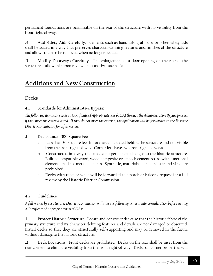permanent foundations are permissible on the rear of the structure with no visibility from the front right-of-way.

.4 **Add Safety Aids Carefully**. Elements such as handrails, grab bars, or other safety aids shall be added in a way that preserves character-defining features and finishes of the structure and allows them to be removed when no longer needed.

.5 **Modify Doorways Carefully**. The enlargement of a door opening on the rear of the structure is allowable upon review on a case-by-case basis.

## **Additions and New Construction**

## **Decks**

#### **4.1 Standards for Administrative Bypass:**

*The following items can receive a Certificate of Appropriateness (COA) through the Administrative Bypass process if they meet the criteria listed. If they do not meet the criteria, the application will be forwarded to the Historic District Commission for a full review.*

#### .**1 Decks under 300 Square Fee**

- a. Less than 300 square feet in total area. Located behind the structure and not visible from the front right-of-way. Corner lots have two front right-of-ways.
- b. Constructed in a way that makes no permanent changes to the historic structure. Built of compatible wood, wood composite or smooth cement board with functional elements made of metal elements. Synthetic, materials such as plastic and vinyl are prohibited.
- c. Decks with roofs or walls will be forwarded as a porch or balcony request for a full review by the Historic District Commission.

## **4.2 Guidelines**

*A full review by the Historic District Commission will take the following criteria into consideration before issuing a Certificate of Appropriateness (COA):*

**.1 Protect Historic Structure**. Locate and construct decks so that the historic fabric of the primary structure and its character-defining features and details are not damaged or obscured. Install decks so that they are structurally self-supporting and may be removed in the future without damage to the historic structure.

**.2 Deck Locations**. Front decks are prohibited. Decks on the rear shall be inset from the rear corners to eliminate visibility from the front right-of-way. Decks on corner properties will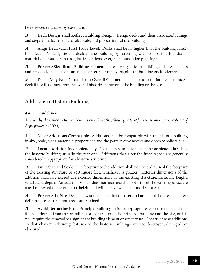be reviewed on a case-by-case basis.

**.3 Deck Design Shall Reflect Building Design**. Design decks and their associated railings and steps to reflect the materials, scale, and proportions of the building.

**.4 Align Deck with First Floor Level**. Decks shall be no higher than the building's firstfloor level. Visually tie the deck to the building by screening with compatible foundation materials such as skirt boards, lattice, or dense evergreen foundation plantings.

**.5 Preserve Significant Building Elements**. Preserve significant building and site elements and new deck installations are not to obscure or remove significant building or site elements.

**.6 Decks May Not Detract from Overall Character**. It is not appropriate to introduce a deck if it will detract from the overall historic character of the building or the site.

## **Additions to Historic Buildings**

#### **4.4 Guidelines**

*A review by the Historic District Commission will use the following criteria for the issuance of a Certificate of Appropriateness (COA):*

**.1 Make Additions Compatible**. Additions shall be compatible with the historic building in size, scale, mass, materials, proportions and the pattern of windows and doors to solid walls.

**.2 Locate Addition Inconspicuously**. Locate a new addition on an inconspicuous façade of the historic building, usually the rear one. Additions that alter the front façade are generally considered inappropriate for a historic structure.

**.3 Limit Size and Scale**. The footprint of the addition shall not exceed 50% of the footprint of the existing structure or 750 square feet, whichever is greater. Exterior dimensions of the addition shall not exceed the exterior dimensions of the existing structure, including height, width, and depth. An addition which does not increase the footprint of the existing structure may be allowed to increase roof height and will be reviewed on a case-by-case basis.

**.4 Preserve the Site**. Design new additions so that the overall character of the site, characterdefining site features, and trees, are retained.

**.5 Avoid Detracting From Principal Building**. It is not appropriate to construct an addition if it will detract from the overall historic character of the principal building and the site, or if it will require the removal of a significant building element or site feature. Construct new additions so that character-defining features of the historic buildings are not destroyed, damaged, or obscured.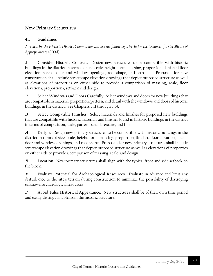#### **New Primary Structures**

#### **4.5 Guidelines**

*A review by the Historic District Commission will use the following criteria for the issuance of a Certificate of Appropriateness (COA):*

.1 **Consider Historic Context**. Design new structures to be compatible with historic buildings in the district in terms of size, scale, height, form, massing, proportions, finished floor elevation, size of door and window openings, roof shape, and setbacks. Proposals for new construction shall include streetscape elevation drawings that depict proposed structure as well as elevations of properties on either side to provide a comparison of massing, scale, floor elevations, proportions, setback and design.

**.2 Select Windows and Doors Carefully**. Select windows and doors for new buildings that are compatible in material, proportion, pattern, and detail with the windows and doors of historic buildings in the district. See Chapters 3.11 through 3.14.

**.3 Select Compatible Finishes**. Select materials and finishes for proposed new buildings that are compatible with historic materials and finishes found in historic buildings in the district in terms of composition, scale, pattern, detail, texture, and finish.

**.4 Design.** Design new primary structures to be compatible with historic buildings in the district in terms of size, scale, height, form, massing, proportion, finished floor elevation, size of door and window openings, and roof shape. Proposals for new primary structures shall include streetscape elevation drawings that depict proposed structure as well as elevations of properties on either side to provide a comparison of massing, scale, and design.

**.5 Location.** New primary structures shall align with the typical front and side setback on the block.

**.6 Evaluate Potential for Archaeological Resources.** Evaluate in advance and limit any disturbance to the site's terrain during construction to minimize the possibility of destroying unknown archaeological resources.

**.7 Avoid False Historical Appearance.** New structures shall be of their own time period and easily distinguishable from the historic structure.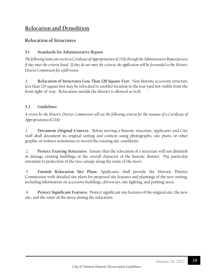## **Relocation and Demolition**

### **Relocation of Structures**

#### **5.1 Standards for Administrative Bypass**

*The following items can receive a Certificate of Appropriateness (COA) through the Administrative Bypass process if they meet the criteria listed. If they do not meet the criteria, the application will be forwarded to the Historic District Commission for a full review.* 

**.1 Relocation of Structures Less Than 120 Square Feet.** Non-historic accessory structure less than 120 square feet may be relocated to another location in the rear yard not visible from the front right-of-way. Relocation outside the district is allowed as well.

#### **5.2 Guidelines**

*A review by the Historic District Commission will use the following criteria for the issuance of a Certificate of Appropriateness (COA):*

.1 **Document Original Context**. Before moving a historic structure, applicants and City staff shall document its original setting and context using photographs, site plans, or other graphic or written statements to record the existing site conditions.

.2 **Protect Existing Structures**. Ensure that the relocation of a structure will not diminish or damage existing buildings or the overall character of the historic district. Pay particular attention to protection of the tree canopy along the route of the move.

.3 **Furnish Relocation Site Plans**. Applicants shall provide the Historic District Commission with detailed site plans for proposed site features and plantings of the new setting, including information on accessory buildings, driveways, site lighting, and parking areas.

.4 **Protect Significant Features**. Protect significant site features of the original site, the new site, and the route of the move during the relocation.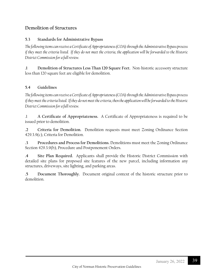#### **Demolition of Structures**

#### **5.3 Standards for Administrative Bypass**

*The following items can receive a Certificate of Appropriateness (COA) through the Administrative Bypass process if they meet the criteria listed. If they do not meet the criteria, the application will be forwarded to the Historic District Commission for a full review.*

**.1 Demolition of Structures Less Than 120 Square Feet.** Non-historic accessory structure less than 120 square feet are eligible for demolition.

#### **5.4 Guidelines**

*The following items can receive a Certificate of Appropriateness (COA) through the Administrative Bypass process if they meet the criteria listed. If they do not meet the criteria, then the application will be forwarded to the Historic District Commission for a full review.*

.1 **A Certificate of Appropriateness.** A Certificate of Appropriateness is required to be issued prior to demolition.

**.2 Criteria for Demolition.** Demolition requests must meet Zoning Ordinance Section 429.3.9(c), Criteria for Demolition.

**.3 Procedures and Process for Demolitions.** Demolitions must meet the Zoning Ordinance Section 429.3.9(b), Procedure and Postponement Orders.

**.4 Site Plan Required.** Applicants shall provide the Historic District Commission with detailed site plans for proposed site features of the new parcel, including information any structures, driveways, site lighting, and parking areas.

**.5 Document Thoroughly.** Document original context of the historic structure prior to demolition.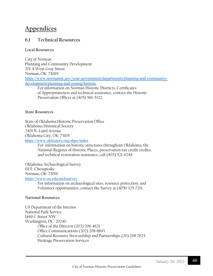## **Appendices**

### **6.1 Technical Resources**

#### **Local Resources**

City of Norman Planning and Community Development 201 A West Gray Street Norman, OK 73069 [https://www.normanok.gov/your-government/departments/planning-and-community](https://www.normanok.gov/your-government/departments/planning-and-community-development/planning-and-zoning/historic)[development/planning-and-zoning/historic](https://www.normanok.gov/your-government/departments/planning-and-community-development/planning-and-zoning/historic) For information on Norman Historic Districts, Certificates

of Appropriateness and technical assistance, contact the Historic Preservation Officer at (405) 366-5322.

#### **State Resources**

State of Oklahoma Historic Preservation Office Oklahoma Historical Society 2401 N. Laird Avenue Oklahoma City, OK 73105 <https://www.okhistory.org/shpo/index>

For information on historic structures throughout Oklahoma, the National Register of Historic Places, preservation tax credit credits, and technical restoration assistance, call (405) 521-6249.

Oklahoma Archaeological Survey

111 E. Chesapeake

Norman, OK 73019

<https://www.ou.edu/archsurvey>

For information on archaeological sites, resource protection, and Volunteer opportunities, contact the Survey at (4050 325-7211.

#### **National Resources**

US Department of the Interior National Park Service 1849 C Street NW Washington, DC 20240 Office of the Director (202) 208-4621 Office Communications (202) 208-6843 Cultural Resource Stewardship and Partnerships (20) 208-7625 Heritage Preservation Services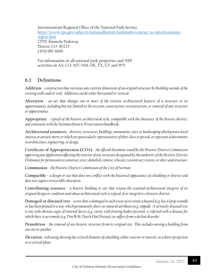Intermountain Regional Office of the National Park Service [https://www.nps.gov/subjects/nationalhistoriclandmarks/contact-us-intermountain](https://www.nps.gov/subjects/nationalhistoriclandmarks/contact-us-intermountain-region.htm)[region.htm](https://www.nps.gov/subjects/nationalhistoriclandmarks/contact-us-intermountain-region.htm) 12795 Alameda Parkway Denver, CO 80225 (303) 987-6690

For information on all national park properties and NPS activities in AX, CO, MT, NM, OK, TX, UT and WY

## **6.2 Definitions**

**Addition** - *construction that increases any exterior dimension of an original structure by building outside of the existing walls and/or roof. Additions can be either horizontal or vertical.*

**Alteration** - *an act that changes one or more of the exterior architectural features of a structure or its appurtenances, including but not limited to the erection, construction, reconstruction, or removal of any structure or appurtenance.*

**Appropriate** - *typical of the historic architectural style, compatible with the character of the historic district, and consistent with the Norman Historic Preservation Handbook.*

**Architectural resources** - *districts, structures, buildings, monuments, sites, or landscaping which possess local interest or artistic merit or which are particularly representative of their class or period, or represent achievements in architecture, engineering, or design.*

**Certificate of Appropriateness (COA)** - *the official document issued by the Historic District Commission approving any application affecting the exterior of any structure designated by the authority of theHistoric District Ordinance for permission to construct, erect, demolish, remove, relocate, reconstruct, restore, or alter said structure.*

**Commission** - *the Historic District Commission of the City of Norman.*

**Compatible** - *a design or use that does not conflict with the historical appearance of a building or district and does not require irreversible alteration.*

**Contributing resource** - *a historic building or site that retains the essential architectural integrity of its original design or condition and whose architectural style is typical of or integral to a historic district.*

**Damaged or diseased tree** - *a tree that is damaged in such a way as to create a hazard (e.g. has a large wound) or has been pruned in a way which permanently alters its natural attributes (e.g. topped). A seriously diseased tree is one with obvious signs of internal decay (e.g. cavity with fruiting bodies present), is infested with a disease for*  which there is no remedy (e.g. Pine Wilt, Dutch Elm Disease), or suffers from a decline disorder.

**Demolition** - *the removal of any historic structure from its original site. This includes moving a building from one site to another.*

**Elevation** *- a drawing showing the vertical elements of a building, either exterior or interior, as a direct projection to a vertical plane.*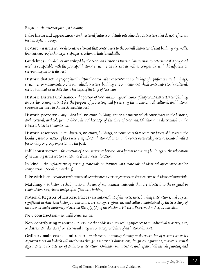#### **Façade** - *the exterior face of a building.*

**False historical appearance** - *architectural features or details introduced to a structure that do not reflect its period, style, or design.*

**Feature** - *a structural or decorative element that contributes to the overall character of that building, e.g. walls, foundations, roofs, chimneys, steps, piers, columns, lintels, and sills.*

**Guidelines** *- Guidelines are utilized by the Norman Historic District Commission to determine if a proposed work is compatible with the principal historic structure on the site as well as compatible with the adjacent or surrounding historic district.* 

**Historic district** *- a geographically definable area with a concentration or linkage of significant sites, buildings, structures, or monuments; or, an individual structure, building, site or monument which contributes to the cultural, social, political, or architectural heritage of the City of Norman.*

**Historic District Ordinance -** *the portion of Norman Zoning Ordinance (Chapter 22:429.3HD) establishing an overlay zoning district for the purpose of protecting and preserving the architectural, cultural, and historic resources included in that designated district.* 

**Historic property** - *any individual structure, building, site or monument which contributes to the historic, architectural, archeological and/or cultural heritage of the City of Norman, Oklahoma as determined by the Historic District Commission.*

**Historic resources** - *sites, districts, structures, buildings, or monuments that represent facets of history in the locality, state or nation; places where significant historical or unusual events occurred; places associated with a personality or group important to the past.*

**Infill construction** - *the erection of a new structure between or adjacent to existing buildings or the relocation of an existing structure to a vacant lot from another location.*

**In-kind** - *the replacement of existing materials or features with materials of identical appearance and/or composition. (See also: matching)*

**Like with like** - *repair or replacement of deteriorated exterior features or site elements with identical materials.*

**Matching** - *in historic rehabilitations, the use of replacement materials that are identical to the original in composition, size, shape, and profile. (See also: in-kind).*

**National Register of Historic Places** *- the national list of districts, sites, buildings, structures, and objects significant in American history, architecture, archeology, engineering and culture, maintained by the Secretary of the Interior under authority of Section 101(a)(1)(A) of the National Historic Preservation Act, as amended*.

**New construction** - *see: infill construction.*

**Non-contributing resource** - *a resource that adds no historical significance to an individual property, site, or district, and detracts from the visual integrity or interpretability of an historic district.*

**Ordinary maintenance and repair** - *work meant to remedy damage or deterioration of a structure or its appurtenances, and which will involve no change in materials, dimensions, design, configuration, texture or visual appearance to the exterior of an historic structure. Ordinary maintenance and repair shall include painting and*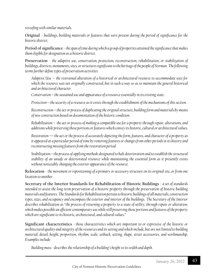*reroofing with similar materials*.

**Original** - *buildings, building materials or features that were present during the period of significance for the historic district.*

**Period of significance** -*the span of time during which a group of properties attained the significance that makes them eligible for designation as a historic district.*

**Preservation** - *the adaptive use, conservation, protection, reconstruction, rehabilitation, or stabilization of buildings, districts, monuments, sites, or structures significant to the heritage of the people of Norman. The following terms further define types of preservation activities:*

*Adaptive Use* – *the restrained alteration of a historical or architectural resource to accommodate uses for which the resource was not originally constructed, but in such a way so as to maintain the general historical and architectural character.*

*Conservation – the sustained use and appearance of a resource essentially in its existing state.*

*Protection – the security of a resource as it exists through the establishment of the mechanisms of this section.*

*Reconstruction – the act or process of duplicating the original structure, building form and materials by means of new construction based on documentation of the historic condition.*

*Rehabilitation – the act or process of making a compatible use for a property through repair, alterations, and additions while preserving those portions or features which convey its historic, cultural or architectural values.*

*Restoration — the act or the process of accurately depicting the form, features, and character of a property as it appeared at a particular period of time by removing features or changes from other periods in its history and reconstructing missing features from therestoration period.*

*Stabilization – the process of applying methods designated to halt deterioration and to establish the structural stability of an unsafe or deteriorated resource while maintaining the essential form as it presently exists without noticeably changing the exterior appearance of the resource.*

**Relocation** - *the movement or repositioning of a primary or accessory structure on its original site, or from one location to another.*

**Secretary of the Interior Standards for Rehabilitation of Historic Buildings** - *a set of standards intended to assist the long-term preservation of a historic property through the preservation of historic building materials and features. The Standardsfor Rehabilitation pertain to historic buildings of all materials, construction types, sizes, and occupancy and encompass the exterior and interior of the buildings. The Secretary of the Interior describes rehabilitation as "the process of returning a property to a state of utility, through repair or alteration, which makes possible an efficient contemporary use while still preserving those portions and features of the property which are significant to its historic, architectural, and cultural values."*

**Significant characteristics** *- those characteristics which are important to or expressive of the historic or architectural quality and integrity of the resources and its setting and which include, but are not limited to building material, detail, height, proportion, rhythm, scale, setback, setting, shape, street accessories, and workmanship. Examples include:*

*Building mass - describes the relationship of a building's height to its width and depth.*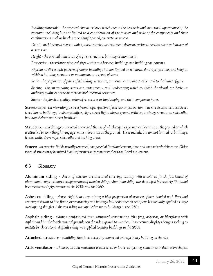*Building materials - the physical characteristics which create the aesthetic and structural appearance of the resource, including but not limited to a consideration of the texture and style of the components and their combinations, such as brick, stone, shingle, wood, concrete, or stucco.*

*Detail- architectural aspects which, due to particular treatment, draw attention to certain parts or features of a structure.*

*Height - the vertical dimension of a given structure, building or monument.*

*Proportion - the relative physical sizes within and between buildings and building components.*

*Rhythm- a discernible pattern of shapes including, but not limited to, windows, doors, projections, and heights, within a building, structure or monument, or a group of same.*

*Scale- the proportion of parts of a building, structure, or monument to one another and to the human figure.*

*Setting - the surrounding structures, monuments, and landscaping which establish the visual, aesthetic, or auditory qualities of the historic or architectural resources.*

*Shape- the physical configuration of structures or landscaping and their component parts.*

**Streetscape** *-the view along a street from the perspective of a driver or pedestrian. The streetscape includes street trees, lawns, buildings, landscape buffers, signs, street lights, above-ground utilities, drainage structures, sidewalks, bus stop shelters and street furniture.*

**Structure** - anything*constructed or erected, the use of which requires permanent location on the ground or which is attached to something having a permanent location on the ground. These include, but are not limited to, buildings, fences, walls, driveways, sidewalks and parking areas.*

**Stucco***- an exterior finish, usually textured, composed of Portland cement, lime, and sand mixed with water. Older types of stucco may be mixed from softer masonry cement rather than Portland cement*.

## **6.3 Glossary**

**Aluminum siding** - *sheets of exterior architectural covering, usually with a colored finish, fabricated of aluminum to approximate the appearance of wooden siding. Aluminum siding was developed in the early 1940s and became increasingly common in the 1950s and the 1960s.*

**Asbestos siding** - *dense, rigid board containing a high proportion of asbestos fibers bonded with Portland cement; resistant to fire, flame, or weathering and having a low resistance to heat flow. It is usually applied as large overlapping shingles. Asbestos siding was applied to many buildings in the 1950s*.

**Asphalt siding** *- siding manufactured from saturated construction felts (rag, asbestos, or fiberglass) with asphalt and finished with mineral granules on the side exposed to weather. It sometimes displays designs seeking to imitate brick or stone. Asphalt siding was applied to many buildings in the 1950s.*

**Attached structure** *- a building that is structurally connected to the primary building on the site.*

**Attic ventilator**-*in houses, an attic ventilator is a screened or louvered opening, sometimes in decorative shapes,*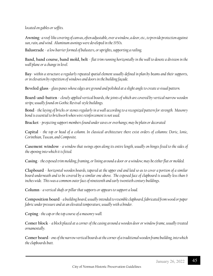#### *located on gables or soffits.*

**Awning**- *a roof-like covering of canvas, often adjustable, over a window, a door, etc., to provide protection against sun, rain, and wind. Aluminum awnings were developed in the 1950s.*

**Balustrade** - *a low barrier formed of balusters, or uprights, supporting a railing.*

**Band, band course, band mold, belt** - *flat trim running horizontally in the wall to denote a division in the wall plane or a change in level.*

**Bay**- *within a structure a regularly repeated spatial element usually defined in plan by beams and their supports, or in elevation by repetition of windows and doors in the building façade.*

**Beveled glass** - *glass panes whose edges are ground and polished at a slight angle to create a visual pattern.*

**Board-and-batten** - *closely applied vertical boards, the joints of which are covered by vertical narrow wooden strips; usually found on Gothic Revival-style buildings.*

**Bond** *- the laying of bricks or stones regularly in a wall according to a recognized pattern for strength. Masonry bond is essential to brickwork when wire reinforcement is not used.*

**Bracket** - *projecting support members found under eaves or overhangs; may be plain or decorated*

**Capital** - *the top or head of a column. In classical architecture there exist orders of columns: Doric, Ionic, Corinthian, Tuscan, and Composite.*

**Casement window** *- a window that swings open along its entire length, usually on hinges fixed to the sides of the opening into which it is fitted.*

**Casing** - *the exposed trim molding, framing, or lining around a door or a window; may be either flat or molded.*

**Clapboard** - *horizontal wooden boards, tapered at the upper end and laid so as to cover a portion of a similar board underneath and to be covered by a similar one above. The exposed face of clapboard is usually less than 6 inches wide. This was a common outer face of nineteenth and early twentieth century buildings.*

**Column** - *a vertical shaft or pillar that supports or appears to support a load.*

**Composition board** - *a building board, usually intended to resemble clapboard, fabricated from wood or paper fabric under pressure and at an elevated temperature, usually with a binder.*

Coping *-* the cap or the top course of a masonry wall.

**Comer block** - *a block placed at a corner of the casing around a wooden door or window frame, usually treated ornamentally.*

**Comer board** - *one of the narrow vertical boards at the corner of a traditional wooden frame building, into which the clapboards butt.*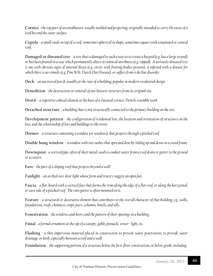**Cornice** -*the top part of an entablature, usually molded and projecting; originally intended to carry the eaves of a roof beyond the outer surface.*

**Cupola** - *a small vault on top of a roof; sometimes spherical in shape, sometimes square with a mansard or conical roof.*

**Damaged or diseased tree** - *a tree that is damaged in such a way as to create a hazard (e.g. has a large wound) or has been pruned in a way which permanently alters its natural attributes (e.g. topped). A seriously diseased tree is one with obvious signs of internal decay (e.g. cavity with fruiting bodies present), is infested with a disease for*  which there is no remedy (e.g. Pine Wilt, Dutch Elm Disease), or suffers from a decline disorder.

**Deck** - *an uncovered porch, usually at the rear of a building; popular in modern residential design.*

**Demolition** - *the destruction or removal of any historic structure from its original site.*

**Denti**l - *a repetitive cubical element at the base of a classical cornice. Dentils resemble teeth.*

**Detached structure** - *a building that is not structurally connected to the primary building on the sire.*

**Development pattern** - *the configuration of residential lots, the location and orientation of structures on the lots, and the relationship of lots and buildings to the street.*

**Dormer** - *a structure containing a window (or windows) that projects through a pitched roof.*

**Double hung window** - *a window with two sashes that open and dose by sliding up and down in a cased frame.*

**Downspout**- *a vertical pipe, often of sheet metal, used to conduct water from a roof drain or gutter to the ground or a cistern.*

**Eave** *- the part of a sloping roof that projects beyond a wall.*

**Fanlight** - *an arched over door light whose form and tracery suggest an open fan.*

**Fascia** - *a flat· board with a vertical face that forms the trim along the edge of a flat roof, or along the horizontal, or eave side of a pitched roof. The rain gutter is often mounted on it.*

**Feature** - *a structural or decorative element that contributes to the overall character of that building, e.g., walls, foundations, roofs, chimneys, steps, piers, columns, lintels, and sills.*

**Fenestration** - *the windows and doors and the pattern of their openings in a building.*

**Finial** *- a formal ornament at the top of a canopy, gable, pinnacle, street light, etc.*

**Flashing** *- a thin impervious material placed in construction to prevent water penetration, to provide water drainage, or both, especially between a roof and a wall.*

**Foundation** - *the supporting portion of a structure below the first-floor construction, or below grade, including*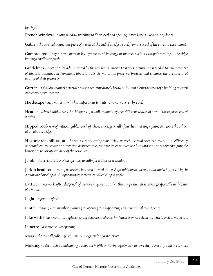*footings.*

**French window** - *a long window reaching to floor level and opening in two leaves like a pair of doors.*

**Gable** - *the vertical triangular piece of a wall at the end of a ridged roof, from the level of the eaves to the summit.*

**Gambrel roof** - *a gable roof more or less symmetrical, having four inclined surfaces, the pair meeting at the ridge having a shallower pitch.*

**Guidelines** - *a set of rules administered by the Norman Historic District Commission intended to assist owners of historic buildings in Norman's historic districts maintain, preserve, protect, and enhance the architectural quality of their property.*

**Gutter** - *a shallow channel of metal or wood set immediately below or built in along the eaves of a building to catch and carry off rainwater.*

**Hardscape** - any *material which is impervious to water and not covered by roof.*

**Header** - *a brick laid across the thickness of a wall to bond together different widths of a wall; the exposed end of a brick.*

**Hipped roof**- *a roof without gables, each of whose sides, generally four, lies in a single plane and joins the others at an apex or ridge.*

**Historic rehabilitation** - *the process of returning a historical or architectural resource to a state of efficiency or soundness by repair or alteration designed to encourage its continued use but without noticeably changing the historic exterior appearance of the resource.*

**Jamb** - *the vertical sides of an opening, usually for a door or a window.*

**Jerkin head roof** - *a roof whose end has been formed into a shape midway between a gable and a hip, resulting in a truncated or clipped "A" appearance; sometimes called clipped gable.*

**Lattice** - *a network, often diagonal, of interlocking lath or other thin strips used as screening, especially in the base of a porch.*

**Light** - *a pane of glass.*

**Lintel** - *a horizontal member spanning an opening and supporting construction above; a beam.*

**Like with like** - *repair or replacement of deteriorated exterior features or site elements with identical materials*

**Lunette** - *a semicircular opening.*

**Mass** - *the overall bulk, size, volume, or magnitude of a structure.*

**Molding**- *a decorative band having a constant profile or having a pat tern in low relief, generally used in cornices*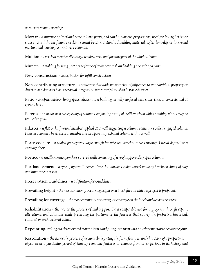*or as trim around openings.*

**Mortar** *- a mixture of Portland cement, lime, putty, and sand in various proportions, used for laying bricks or stones. Until the use f hard Portland cement became a standard building material, softer lime-day or lime-sand mortars and masonry cement were common.*

**Mullion** - *a vertical member dividing a window area and forming part of the window frame.*

**Muntin** - *a molding forming part of the frame of a window sash and holding one side of a pane.*

**New construction** - *see definition for infill construction.*

**Non-contributing structure** - *a structure that adds no historical significance to an individual property or district, and detracts from the visual integrity or interpretability of an historic district.*

**Patio** - *an open, outdoor living space adjacent to a building, usually surfaced with stone, tiles, or concrete and at ground level.*

**Pergola** - *an arbor or a passageway of columns supporting a roof of trelliswork on which climbing plants may be trained to grow.*

**Pilaster** - *a flat or half-round member applied at a wall suggesting a column; sometimes called engaged column. Pilasters can also be structural members, as in a partially exposed column within a wall.*

**Porte cochere** - *a roofed passageway large enough for wheeled vehicles to pass through. Literal definition: a carriage door.*

**Portico** - *a small entrance porch or covered walk consisting of a roof supported by open columns.*

**Portland cement** - *a type of hydraulic cement (one that hardens under water) made by heating a slurry of clay and limestone in a kiln.*

**Preservation Guidelines** - *see definition for Guidelines.*

**Prevailing height** - *the most commonly occurring height on a block face on which a project is proposed.*

**Prevailing lot coverage** - *the most commonly occurring lot coverage on the block and across the street.*

**Rehabilitation** *- the ace or the process of making possible a compatible use for a property through repair, alterations, and additions while preserving the portions or the features that convey the property's historical, cultural, or architectural values.*

**Repointing**- *raking out deteriorated mortar joints and filling into them with a surface mortar to repair the joint.*

**Restoration** - *the act or the process of accurately depicting the form, features, and character of a property as it appeared at a particular period of time by removing features or changes from other periods in its history and*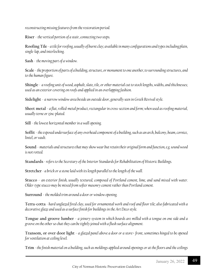*reconstructing missing features from the restoration period.*

**Riser** - *the vertical portion of a stair, connecting two steps.*

**Roofing Tile** - *a tile for roofing, usually of burnt clay; available in many configurations and types including plain, single-lap, and interlocking.*

**Sash** - *the moving part of a window.*

**Scale** - *the proportion of parts of a building, structure, or monument to one another, to surrounding structures, and to the human figure.*

**Shingle** *- a roofing unit of wood, asphalt, slate, tile, or other material cut to stock lengths, widths, and thicknesses; used as an exterior covering on roofs and applied in an overlapping fashion.*

**Sidelight** - *a narrow window area beside an outside door, generally seen in Greek Revival style.*

**Sheet metal** - *a flat, rolled-metal product, rectangular in cross-section and form; when used as roofing material, usually terne or zinc-plated.*

**Sill** - *the lowest horizontal member in a wall opening.*

**Soffit**- *the exposed undersurface of any overhead component of a building, such as an arch, balcony, beam, cornice, lintel, or vault.*

**Sound** - *materials and structures that may show wear but retain their original form and function, e.g. sound wood is not rotted.*

**Standards** *-refers to the Secretary of the Interior Standards for Rehabilitation of Historic Buildings.*

**Stretcher** *- a brick or a stone laid with its length parallel to the length of the wall.*

**Stucco** - *an exterior finish, usually textured, composed of Portland cement, lime, and sand mixed with water. Older-type stucco may be mixed from softer masonry cement rather than Portland cement.*

**Surround** - *the molded trim around a door or window opening.*

**Terra-cotta** *- hard unglazed fired clay, used for ornamental work and roof and floor tile; also fabricated with a decorative glaze and used as a surface finish for buildings in the Art Deco style.*

**Tongue and groove lumber** - *a joinery system in which boards are milled with a tongue on one side and a groove on the other so chat they can be tightly joined with a flush surface alignment.*

**Transom, or over door light** - *a glazed panel above a door or a store front, sometimes hinged to be opened for ventilation at ceiling level.*

**Trim** *- the finish material on a building, such as moldings applied around openings or at the floors and the ceilings*